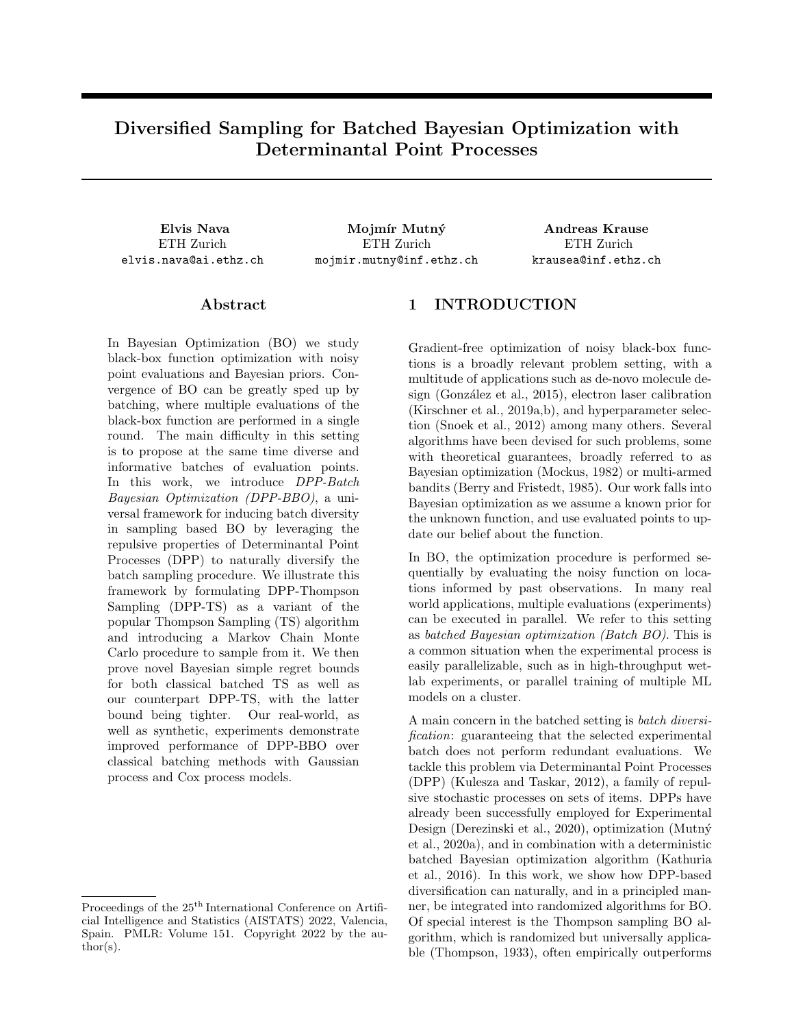# Diversified Sampling for Batched Bayesian Optimization with Determinantal Point Processes

ETH Zurich elvis.nava@ai.ethz.ch

Elvis Nava Mojmír Mutný Andreas Krause ETH Zurich mojmir.mutny@inf.ethz.ch

ETH Zurich krausea@inf.ethz.ch

## Abstract

In Bayesian Optimization (BO) we study black-box function optimization with noisy point evaluations and Bayesian priors. Convergence of BO can be greatly sped up by batching, where multiple evaluations of the black-box function are performed in a single round. The main difficulty in this setting is to propose at the same time diverse and informative batches of evaluation points. In this work, we introduce DPP-Batch Bayesian Optimization (DPP-BBO), a universal framework for inducing batch diversity in sampling based BO by leveraging the repulsive properties of Determinantal Point Processes (DPP) to naturally diversify the batch sampling procedure. We illustrate this framework by formulating DPP-Thompson Sampling (DPP-TS) as a variant of the popular Thompson Sampling (TS) algorithm and introducing a Markov Chain Monte Carlo procedure to sample from it. We then prove novel Bayesian simple regret bounds for both classical batched TS as well as our counterpart DPP-TS, with the latter bound being tighter. Our real-world, as well as synthetic, experiments demonstrate improved performance of DPP-BBO over classical batching methods with Gaussian process and Cox process models.

# 1 INTRODUCTION

Gradient-free optimization of noisy black-box functions is a broadly relevant problem setting, with a multitude of applications such as de-novo molecule design (González et al., 2015), electron laser calibration (Kirschner et al., 2019a,b), and hyperparameter selection (Snoek et al., 2012) among many others. Several algorithms have been devised for such problems, some with theoretical guarantees, broadly referred to as Bayesian optimization (Mockus, 1982) or multi-armed bandits (Berry and Fristedt, 1985). Our work falls into Bayesian optimization as we assume a known prior for the unknown function, and use evaluated points to update our belief about the function.

In BO, the optimization procedure is performed sequentially by evaluating the noisy function on locations informed by past observations. In many real world applications, multiple evaluations (experiments) can be executed in parallel. We refer to this setting as batched Bayesian optimization (Batch BO). This is a common situation when the experimental process is easily parallelizable, such as in high-throughput wetlab experiments, or parallel training of multiple ML models on a cluster.

A main concern in the batched setting is batch diversification: guaranteeing that the selected experimental batch does not perform redundant evaluations. We tackle this problem via Determinantal Point Processes (DPP) (Kulesza and Taskar, 2012), a family of repulsive stochastic processes on sets of items. DPPs have already been successfully employed for Experimental Design (Derezinski et al., 2020), optimization (Mutn´y et al., 2020a), and in combination with a deterministic batched Bayesian optimization algorithm (Kathuria et al., 2016). In this work, we show how DPP-based diversification can naturally, and in a principled manner, be integrated into randomized algorithms for BO. Of special interest is the Thompson sampling BO algorithm, which is randomized but universally applicable (Thompson, 1933), often empirically outperforms

Proceedings of the  $25<sup>th</sup>$  International Conference on Artificial Intelligence and Statistics (AISTATS) 2022, Valencia, Spain. PMLR: Volume 151. Copyright 2022 by the au- $\text{thor}(s)$ .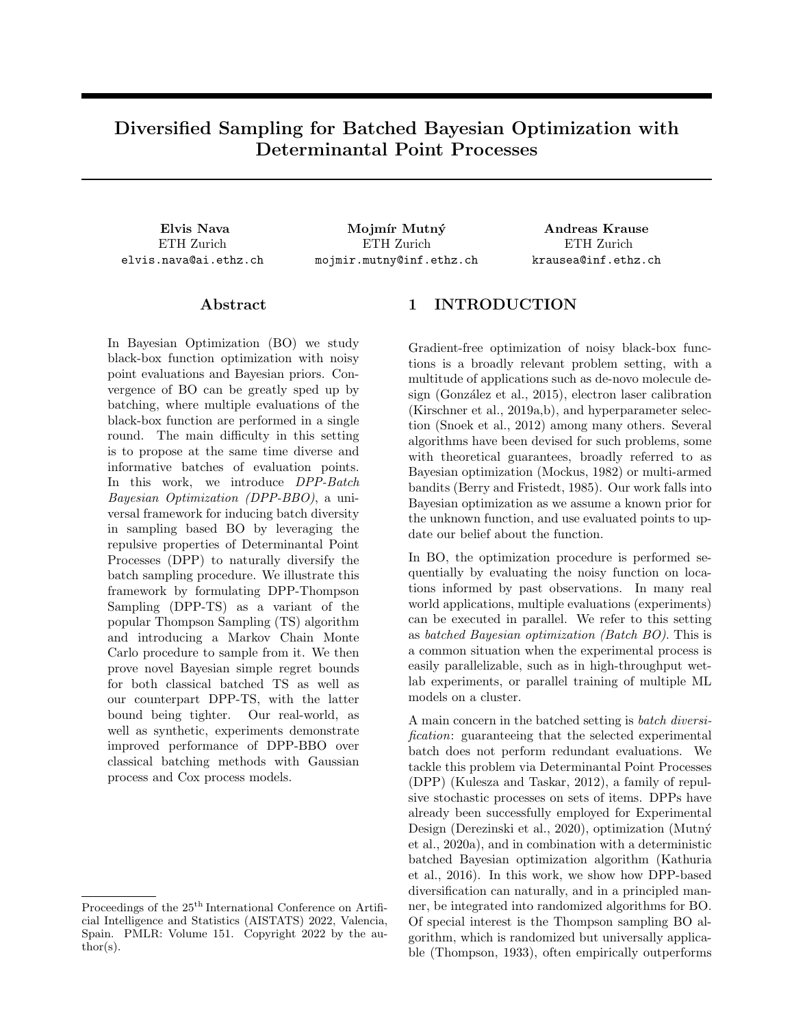

Figure 1: Diversification Demonstration. Given a Gaussian Process posterior on f defined over  $X = \begin{bmatrix} 0.5, 0.5 \end{bmatrix}$ we sample a batch of  $B = 2$  evaluation points for our next optimization iteration using a randomized Batch BO algorithm. With Thompson Sampling (a), this corresponds to sampling from the symmetric 2d distribution  $P_{\text{max}}(x_1, x_2) = p_{\text{max}}(x_1) p_{\text{max}}(x_2)$ . We wish to sample diverse batches, therefore we would like to reduce the probability mass near the diagonal (where  $x_1 = x_2$ ). To do so, we can use hallucinated observations (b) or our DPP-TS sampling distribution (c), which exploits DPP repulsion properties. It is apparent how  $P_{\text{DPP-TS}}$ , by assigning much less probability mass to locations near the diagonal, disfavors the selection of non-diverse batches.

UCB (Chapelle and Li, 2011), and in some cases has better computational properties (Mutný et al., 2020b).

#### 1.1 Our Contribution

In this work we introduce a framework for randomized Batched Bayesian Optimization diversification through DPPs (DPP-BBO). Our main result is an algorithm called DPP-TS, which samples from a Regularized DPP, capturing both Thompson Sampling (posterior sampling) and information-theoretic batch diversity. We use a Markov Chain Monte Carlo (MCMC) approach adapted from the DPP literature (Anari et al., 2016) to sample batches for this new algorithm. We establish improved Bayesian Simple Regret bounds for DPP-TS compared to classical batching schemes for Thompson Sampling, and experimentally demonstrate its effectiveness w.r.t. BO baselines and existing techniques, both on synthetic and realworld data. Lastly, we demonstrate the generality of our diversification framework by applying it on an alternative randomized BO algorithm called Perturbed History Exploration (PHE) (Kveton et al., 2020); and extend it to cover Cox Process models in addition to classically assumed Gaussian Processes.

## 2 BACKGROUND

Bayesian Optimization The problem setting for Bayesian Optimization (BO) is as follows: we select a sequence of actions  $x_t \geq X$ , where t denotes the *iteration count* so that  $t \nightharpoonup [1, T]$ , and X is the action domain, which is either discrete or continuous. For each chosen action  $x_t$ , we observe a noisy re-

ward  $y_t = f(x_t) + \epsilon_t$  in sequence, where  $f : X$ R is the unknown reward function, and  $\epsilon_t$  are assumed to be i.i.d. Gaussian s.t.  $\epsilon_t$   $\mathcal{N}(0, \sigma^2)$  with known variance. Most BO algorithms select each point  $x_t$  through maximization of an *acquisition function*  $x_t = \text{argmax}_{x \geq X} u_t(x/D_{t-1}),$  determined by the state of an internal Bayesian model of  $f$ . We indicate with  $D_{t-1} = f(x_1, y_1), \ldots, (x_{t-1}, y_{t-1})$  the filtration consisting of the history of evaluation points and observations up to and including step  $t \quad 1$  on which the model is conditioned on. The main algorithmic design choices in BO are which acquisition function and which internal Bayesian model of f to use.

Gaussian Processes Obtaining any theoretical convergence guarantees in infinite or continuous domains is impossible without assumptions on the structure of f. A common assumption in Bayesian Optimization is that  $f$  is a sample from a Gaussian Process (GP) (Rasmussen and Williams, 2005) prior, which has the property of being versatile yet allowing for posterior updates to be obtained in closed form. Many BO algorithms make use of an internal GP model of  $f$ , which is initialized as a prior and then sequentially updated from feedback. This GP is parametrized by a kernel function  $k(x, x^{\theta})$  and a mean function  $\mu(x)$ . To denote that  $f$  is sampled from the GP, we write  $f \quad GP(\mu, k).$ 

Regret Minimization We quantify our progress towards maximizing the unknown  $f$  via the notion of regret. In particular, we define the instantaneous regret of action  $x_t$  as  $r_t = f(x^*)$  $f(x_t),$ with  $x^* = \operatorname{argmax}_{x \ge X} f(x)$  being the optimal action.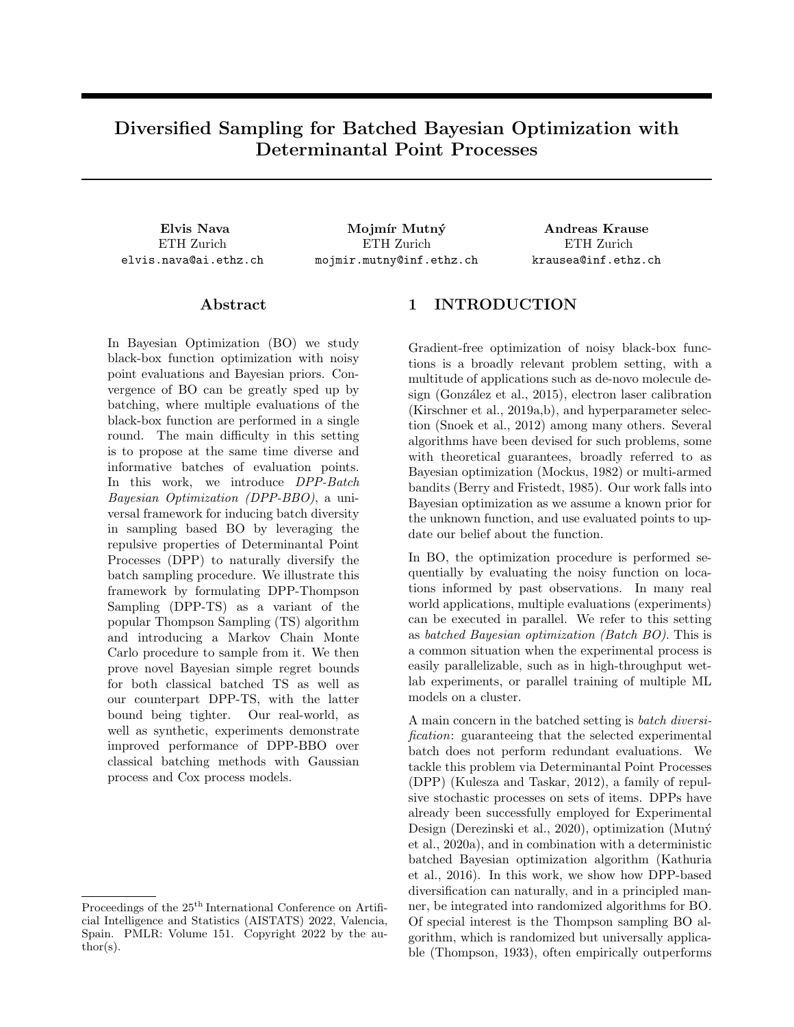A common objective for BO is that of minimizing Bayesian Cumulative Regret  $BCR_T = \mathbb{E}\left[\sum_{t=1}^T r_t\right] =$  $\mathbb{E}\left[\sum_{t=1}^T\left(f(x^*)-f(x_t)\right)\right],$  where the expectation is over the prior of  $f$ , observation noise and algorithmic randomness. Obtaining bounds on the cumulative regret that scale sublinearly in T allows us to prove convergence of the *average regret*  $BCR_T/T$ , therefore also minimizing the *Bayesian Simple Regret*  $BSR_T =$  $\mathbb{E} \left[ \min_{t \geq 1, T} r_t \right] = \mathbb{E} \left[ \min_{t \geq 1, T} f(x^{\star}) - f(x_t) \right]$  and guaranteeing convergence of our optimization of  $f$ .

Batch Bayesian Optimization We define Batch Bayesian Optimization (BBO) as the setting where, instead of sequentially proposing and evaluating points, our algorithms propose a batch of points of size  $B$  at every iteration  $t$ . Importantly, the batch must be finalized before obtaining any feedback for the elements within it. Batched Bayesian Optimization algorithms encounter two main challenges with respect to performance and theoretical guarantees: proposing diverse evaluation batches, and obtaining regret bounds competitive with full-feedback sequential algorithms, sublinear in the total number of experiments  $BT$ , where T denotes the iteration count T and B the batch size.

Determinantal Point Processes (DPPs) (Kulesza and Taskar, 2012) are a family of point processes characterized by the property of repulsion. We define a point process  $P$  over a set  $X$  as a probability measure over subsets of  $X$ . Given a similarity measure for pairs of points in the form of a kernel function, Determinantal Point Processes place high probability on subsets that are diverse according to the kernel.

We will now describe DPPs for finite domains due to their simplicity, however their definition can be extended to continuous  $X$ . For our purposes, we restrict our focus on L-ensemble DPPs: given a so-called Lensemble kernel  $L$  defined as a matrix over the entire (finite) domain X, a Determinantal Point Process  $P_L$ is defined as the point process such that the probability of sampling the set  $X \times X$  is proportional to the determinant of the kernel matrix  $L_X$  restricted to X

$$
P_L(X) \angle \det(L_X). \tag{1}
$$

Remarkably, the required normalizing constant can be obtained in closed form as  $\sum_{X} \chi \det(L_X) = \det(L + I).$ 

If the kernel L is such that  $L_{ij} = l(x_i, x_j)$ , for  $x_i, x_j \geq$  $X$ , encodes the similarity between any pair of points  $x_i$ and  $x_j$ , then the determinant det  $(L_X)$  will be greater for diverse sets  $X$ . Intuitively, for the linear kernel, diversity can be measured by the area of the  $|X|$ - dimensional parallelepiped spanned by the vectors in X (see Section 2.2.1 from Kulesza and Taskar, 2012).

For our application, we require sampling of batches of points with a specific predetermined size. For this purpose, we focus on  $k$ -DPPs. A  $k$ -DPP  $P_L^k$  over  $X$  is a distribution over subsets of  $X$  with fixed cardinality k, such that the probability of sampling a specific subset X is proportional to that for the generic DPP case:  $P_L^k(X) = \frac{\det(L_X)}{\sum_{X^0} x_i \cdot x_i \cdot \phi_{i-k} \cdot G}$  $\frac{\det(L_X)}{x^{\theta} \times jX^{\theta}j=k} \frac{\det(L_X)}{\det(L_X \theta)}.$ 

Sampling from DPPs and k-DPPs can be done with a number of efficient exact or approximate algorithms. The seminal exact sampling procedure for k-DPPs from Deshpande and Rademacher (2010) requires time  $O(kN^{\omega+1}\log N)$  in the batch size k and the size of the domain N, with  $\omega$  being the exponent of the arithmetic complexity of matrix multiplication. This does not scale well for large domains, nor does it work for the continuous case. Fortunately, an efficient MCMC sampling scheme with complexity of  $O(Nk \log(\epsilon^{-1}))$ introduced by Anari et al. (2016) works much better in practice. Variants of such MCMC schemes have been proven to also work for continuous domains (Rezaei and Gharan, 2019).

# 3 RELATED WORK

A number of different acquisition functions have been proposed for Bayesian Optimization, such as Probability of Improvement, Expected Improvement, Upper Confidence Bound (UCB) among many others (cf., Brochu et al., 2010). The Gaussian process version of UCB (GP-UCB, Srinivas et al., 2010) is a popular technique based on a deterministic acquisition function, with sublinear regret bounds for common kernels.

Thompson Sampling Thompson Sampling is an intuitive and theoretically sound BO algorithm using a randomized acquisition function (Thompson, 1933; Russo et al., 2020). When choosing the next evaluation point, we sample a realization from the current posterior modeling the objective function, and use this as the acquisition function to maximize  $x_t =$  $\operatorname*{argmax}_{x \in X} \tilde{f}(x)$  where  $\tilde{f}$  is the sample function, e.g.  $\tilde{f}$  GP( $\mu_t$ ,  $K_t$ )<sub> $\cap$ </sub> Bayesian Cumulative Regret was first bounded as  $O(\frac{D}{T\gamma_T})$  by Russo and Van Roy (2014), where  $\gamma_T$  is the maximum mutual information obtainable from T observations (for more details on this well established quantity, see Appendix B). This bound matches lower bounds in  $T$  (Scarlett et al., 2017).

Batched UCB and Pure Exploration For Batched BO, heuristic algorithms such as Simulation Matching (Azimi et al., 2010) or Local Penalization (Gonzalez et al., 2016) attempt to solve the problem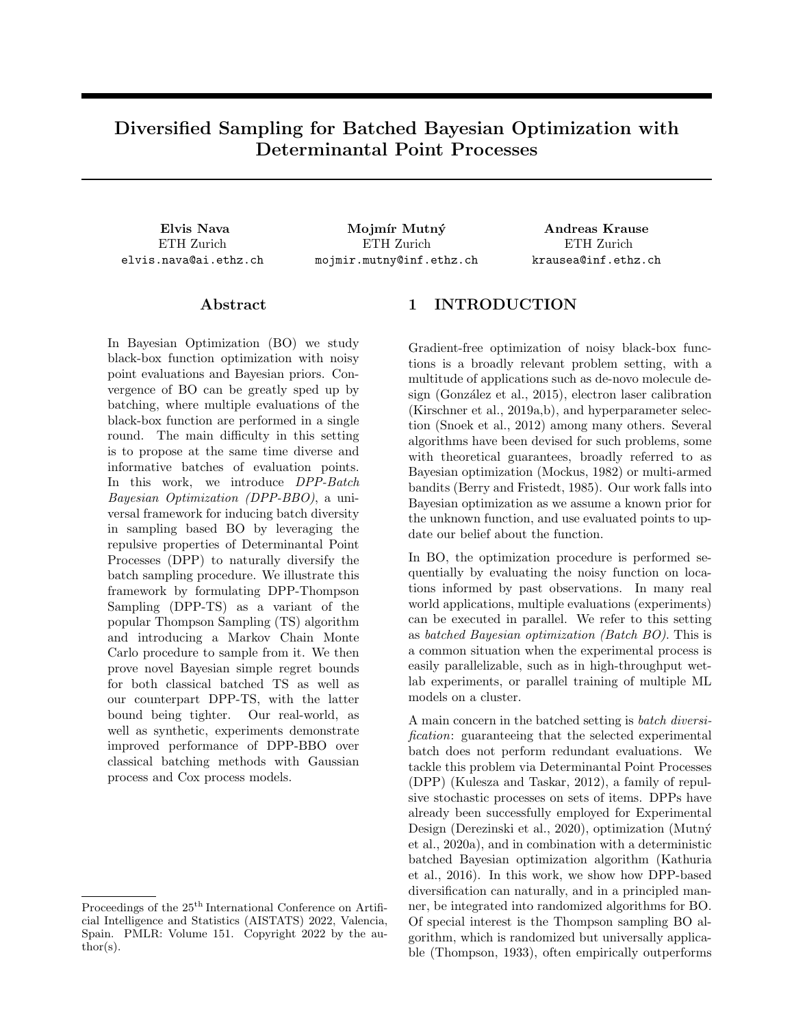of generating informative and diverse evaluation point batches, albeit without theoretical guarantees on regret. In particular, Local Penalization selects explicitly diversified batches by greedily penalizing alreadysampled points with penalization factors in the acquisition function.

Desautels et al. (2014) are the first to provide a theoretically justified batched algorithm, introducing GP-BUCB, a batched variant of GP-UCB. To induce diversity within batches, they use *hallucinated observations*, so that  $x_{\text{GP-BUCB}_{t,b}}$  is sampled by maximizing a UCB based on the hallucinated posterior  $\tilde{D}_{t,b}$  1. The hallucinated history is constructed by using the posterior mean in place of the observed reward for points with delayed feedback. GP-BUCB attains a cumulative regret bound of  $O(\frac{7}{TB\beta_{TB}\gamma_{TB}})$ , which, however, requires an initialization phase before the deployment of the actual algorithm. For the first  $T_{init}$  iterations, the evaluations are chosen with Uncertainty Sampling, picking the point satisfying  $x_t = \argmax_{x \in \mathcal{X}} \sigma_t(x)$ , effectively exploring the whole domain, which limits the practicality of the method. To alleviate this, Contal et al. (2013) introduce the alternative GP-UCB Pure Exploration (GP-UCB-PE, Contal et al., 2013), which mixes the UCB acquisition function with a Pure Exploration strategy. Sampling a batch at timestamp  $t$ , GP-UCB-PE operates in two phases: the first point of each batch is sampled with standard GP-UCB, while the remaining  $B-1$  points are sampled by first defining a high probability region  $R^+$  for the maximizer, and then performing Uncertainty Sampling  $x_{\text{UCB-PE}_{t,b}} =$  $\mathop{\rm argmax}_{x \geq \Re^+} \sigma_{t,b}(x)$ . GP-UCB-PE's cumulative regret is bounded by  $O(\frac{D}{T} \frac{E}{T} \frac{P}{B} \frac{P}{T} \frac{P}{T} \frac{P}{B})$  without an initialization phase, as opposed to GP-BUCB.

Batched TS Kandasamy et al. (2018) are first to consider batching with Thompson sampling and GPs. They propose to simply resample multiple times from the posterior within each batch, effectively lifting the Thompson Sampling algorithm as-is to the batched case. By repeating TS sampling for each point within the batch, they bound the Bayesian cumulative regret by  $O(\frac{p}{TB\beta_{TB}\gamma_{TB}})$ . It is possible but not required to use hallucinated observations (hal-TS). However, an initialization phase identical to that of GP-BUCB is needed for the their proof on the bound to hold. A novel result from our work is an improved proof technique such that the initialization phase for Batched TS is not required for the Bayesian simple regret version of the bound to hold.

DPPs in Batched BO Kathuria et al. (2016) use Determinantal Point Process sampling to define a variation of GP-UCB-PE (Contal et al., 2013), called UCB-DPP-SAMPLE. They observe that the Uncertainty Sampling phase of GP-UCB-PE corresponds to greedy maximization of the posterior covariance matrix determinant det  $(K_{t,1_X})$  with respect to batches X of size B 1 from  $\mathsf{R}^+$ , with  $K_{t,1}$  being the covariance matrix produced by the posterior kernel of the GP after step  $(t, 1)$  and restricted to the set X. Finding the  $(B \t 1)$ -sized submatrix of the maximum determinant is an NP-hard problem, and picking each element greedily so that it maximizes  $\sigma_{t,b}^2(x) = k_{t,b}(x, x)$ fails to guarantee the best solution. Maximizing the above determinant is also equivalent to maximizing det  $(L_{t,1_X})$  for the DPP L-ensemble kernel defined as  $L_{t,1} = I + \sigma^{-2} K_{t,1}$ , called the mutual information kernel (Kathuria et al., 2016).

Instead of selecting the last  $B$  1 points of each batch with Uncertainty Sampling, UCB-DPP-SAMPLE samples them from a  $(B \t 1)$ -DPP restricted to  $R^+$  with the Mutual Information L-ensemble kernel  $L_{t,1} = I + \sigma^{-2} K_{t,1}$ . Kathuria et al. (2016) provide a bound for UCB-DPP-SAMPLE as a variation of the  $O\left(\frac{D_{\overline{TB}}}{T\overline{B}\beta_{TB}\gamma_{TB}}\right)$  bound for GP-UCB-PE. However, as we illustrate in Appendix D, their bound is necessarily worse than the existing one for GP-UCB-PE.

The concurrent work of Nguyen et al. (2021) is another recent example of DPP usage in BBO diversification, proposing DPP sampling (with DPP kernel informed by a GP posterior) as a method of diverse batch selection, demonstrating good performance in experimental tasks, but no known theoretical regret guarantees.

## 4 THE DPP-BBO FRAMEWORK

A key insight our approach relies on is to view Thompson Sampling as a procedure that samples at each step from a maximum distribution  $p_{\text{max}}$  over X, so that  $x_t$  p<sub>max,t</sub> with

$$
p_{\max,t}(x) = \mathbb{E}_f \; \; \text{post}_t \left[ \mathbb{1}[x = \underset{x^0 \ge X}{\operatorname{argmax}} \, \tilde{f}(x^0)] \right]. \tag{2}
$$

A simple approach towards Batched Thompson Sampling is to obtain a batch  $X_t$  of evaluation points (with  $|X_t| = B$ ) by sampling B times from the posterior in each round. This can again be interpreted as

$$
X_t \quad P_{\max,t} \text{ with } P_{\max,t}(X) = \prod_{x_b \ge X} p_{\max,t}(x_b). \quad (3)
$$

This way, we can view Thompson Sampling or any other randomized Batch BO algorithm as iteratively sampling from a batch distribution over  $X^B$  dependent on t. The main downside of this simple approach is that independently obtaining multiple samples may lead to redundancy. As a remedy, in our DPP-BBO framework, we modify such sampling distributions by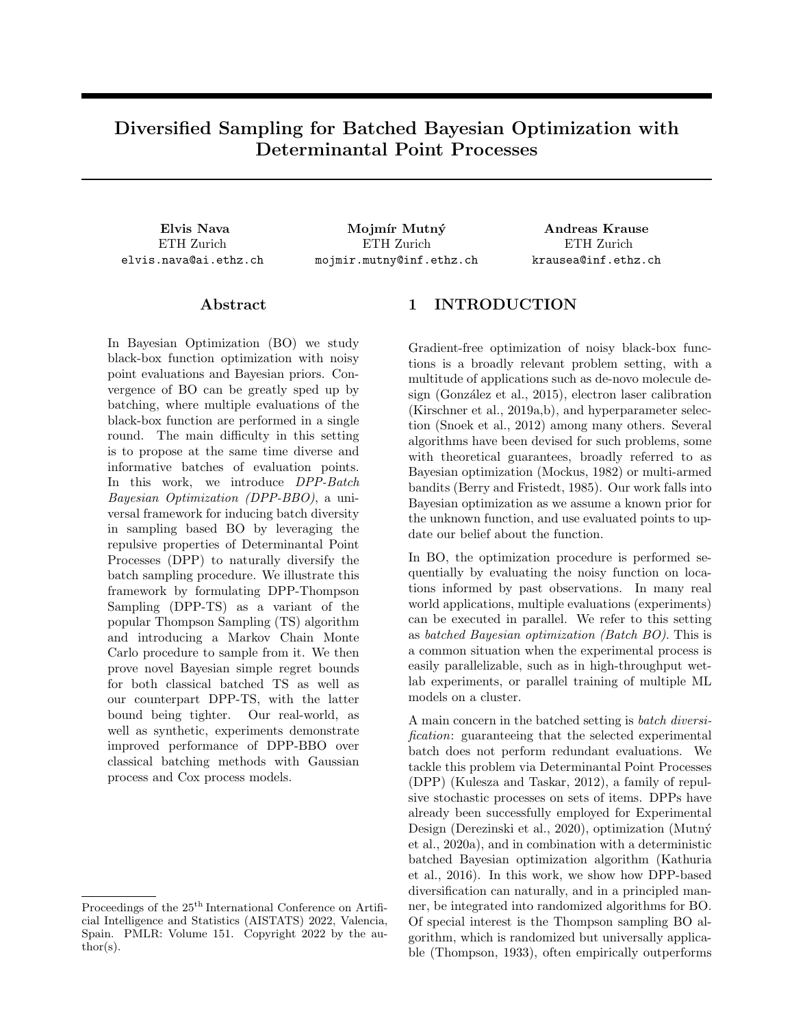reweighing them by a DPP likelihood. This technique is general, and allows us to apply DPP diversification to any randomized BBO algorithm with batch sampling likelihood  $P_{\mathsf{A},t}(X)$ .

Definition 1 (DPP-BBO Sampling Likelihood) The batch sampling likelihood of generic DPP-BBO at step t is

$$
P_{\text{DPP-BBO},t}(X) \nearrow P_{\mathcal{A},t}(X) \det(L_{tX}) \tag{4}
$$

with  $L_t$  being a DPP L-ensemble kernel defined over the domain  $X$ .

Notice that the domain  $X$  does not need to be discrete, even though we introduced the approach on discrete ground sets in order to simplify notation. This is in contrast to the existing DPP-based BO algorithm from Kathuria et al. (2016), which requires the domain to be discrete in order to efficiently sample the DPP restricted to the arbitrary region  $R^+$  in the general case.

We now proceed to justify our formulation, defining the DPP-Thompson Sampling (DPP-TS) procedure in the process.

#### 4.1 The DPP quality-diversity decomposition

DPPs capture element diversity but also take into account element quality independently of the similarity measure, as illustrated by Kulesza and Taskar (2012). Namely, L-ensemble DPPs can be decomposed into a quality-diversity representation, so that the entries of the L-ensemble kernel for the DPP are expressed as  $L_{ij} = q_i \phi_i^> \phi_j q_j$  with  $q_i \geq \mathbb{R}^+$  representing the quality of an item i, and  $\phi_i \nightharpoonup R^m$ ,  $k\phi_i k = 1$  being normalized *diversity* features. We also define S with  $S_{ij} = \phi_i^> \phi_j$ . This allows us to represent the DPP model as  $P_L(X) \setminus (\prod_{i \ge X} q_i^2) \det(S_X)$ .

We then consider a k-DPP with L-ensemble kernel L in its quality-diversity representation, and re-weigh the quality values of items by their likelihood under a Bayesian Optimization random sampling scheme  $P_{A,t}(x)$  such as Thompson Sampling  $P_{\text{max},t}(x)$ . Following this approach, we can obtain a new k-DPP likelihood by renormalizing the product of the Thompson Sampling likelihood of the batch  $P_{\text{max}}$  and an existing DPP likelihood  $P_L$  for  $X = fx_1, \ldots, x_Bg$ :

$$
P_{\text{DPP-TS}}(X) \angle \left(\prod_{x_b \ge X} p_{\text{max}}(x_b)\right) P_L(X) \tag{5}
$$

$$
\angle \left( \prod_{x_b \, 2X} p_{\text{max}}(x_b) \right) \det(L_X) \tag{6}
$$

$$
\angle \left( \prod_{x_b \ge X} p_{\max}(x_b) \ q_{x_b}^2 \right) \det(S_X) \quad (7)
$$

The result is a k-DPP with L-ensemble kernel  $\tilde{L}_{ij}$  =  $\sqrt{p_{\max}(x_i)p_{\max}(x_j)}L_{ij}$ , generalizing the sampling distribution for batched TS as a stochastic process with repulsive properties. To recover original batched TS, we just need to set  $L_t = I$ .

#### 4.2 The Mutual Information Kernel

For our choice of kernel, we follow the insight from Kathuria et al. (2016) and use  $L_t = I + \sigma^{-2} K_t$ , with  $K_t$  being the GP posterior kernel at step  $t$ . Consequently, the DPP loglikelihood of a set  $X$  at time  $t$ is proportional to the mutual information between the true function  $f$  and the observations obtained from X:  $I(f_X; \mathbf{y}_X/\mathbf{y}_{1:t-1,1:B}) = \frac{1}{2} \log \det(I + \sigma^{-2} K_{tX})$  (see Appendix B). This is an example of a so-called Regularized k-DPP, a k-DPP such that a symmetric positive semidefinite regularization matrix A is added to an original unregularized L-ensemble DPP kernel, for the particular case of  $A = \lambda I$ . In such a setting, we allow for the same element to be selected multiple times and enforce that any set X must have nonzero probability of being selected. By tuning the strength of the regularization, we can tune how extreme we wish our similarity repulsion to be.

#### Definition 2 (DPP-TS Sampling Likelihood)

The batch sampling likelihood of DPP-TS at step t is

$$
P_{\text{DPP-TS},t}(X) \angle P_{\text{max},t}(X) \det(I + \sigma^{-2} K_{tX}). \quad (8)
$$

In Figure 1, we illustrate the  $|X|=2$  case to compare the original  $P_{\text{max}}$  TS distribution, a TS variant with hallucinated observations, and  $P_{\text{DPP-TS}}$  with its repulsion properties.

### 4.3 Markov Chain Monte Carlo for DPP-BBO

Sampling from the mutual information DPP component det( $I + \sigma^{-2}K_{tX}$ ) of DPP-TS on its own can be done easily and efficiently, as numerous algorithms exist for both exact and approximate sampling from k-DPPs (Kulesza and Taskar, 2012). Likewise, we assume we are in a setting in which Thompson Sampling on its own can be performed relatively efficiently, as sampling from  $P_{\text{max }t}$  reduces to sampling a function realization f from the posterior, e.g.  $GP(\mu_t, K_t)$ , and maximizing  $\hat{f}$  over  $\hat{X}$ .

However, when sampling from the product of the two distributions, we must resort to tools of approximate inference. The main issue with adopting standard approaches is that computation of the explicit likelihood P<sub>DPP-TS,t</sub> is *doubly intractable:* computation of  $P_{\text{max},t}$ is intractable on its own, and it appears in the enumerator of  $P_{\text{DPP-TS},t}$  before normalization.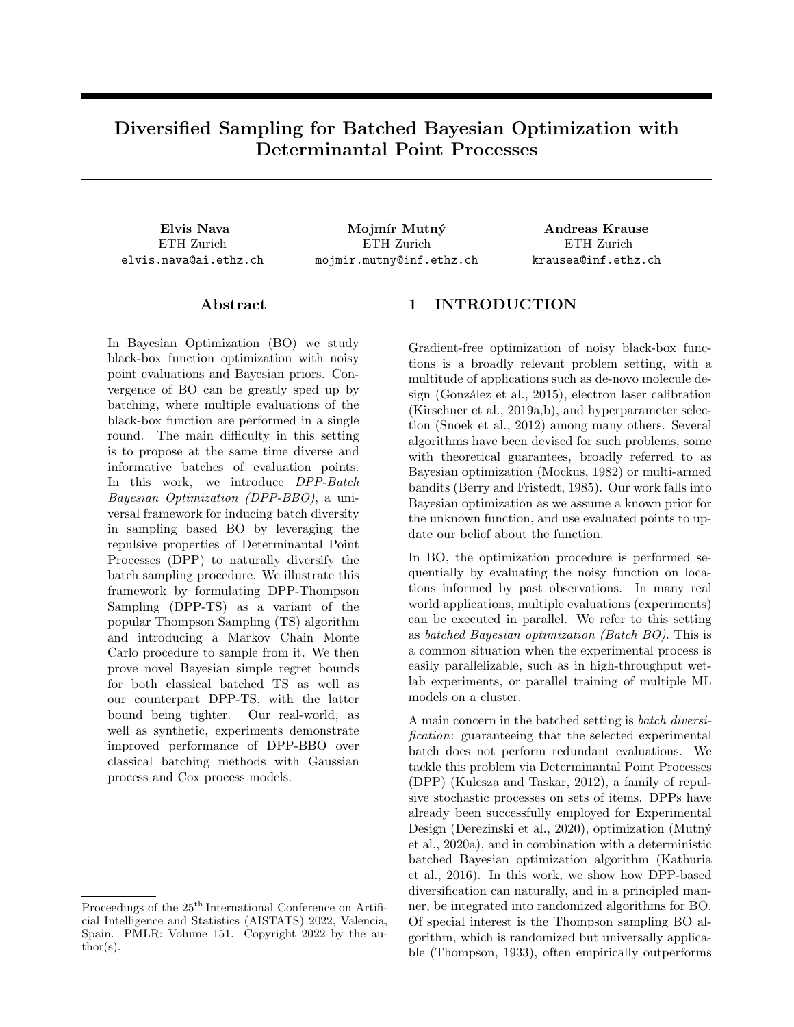Our approach for sampling from  $P_{\text{DPP-TS},t}$  relies on a Markov Chain Monte Carlo (MCMC) sampler. We construct an ergodic Markov Chain over batches from<br>  $\Omega = fX$  / X  $X$ ,  $|X| = kg$  with transition ker- $X, iX = kg$  with transition kernel  $T(X^{\ell}/X)$  such that the detailed balance equation  $Q(X)T(X^{\theta}/X) = Q(X^{\theta})T(X^{\theta})$  is satisfied almost surely with respect to  $P_{\text{DPP-TS},t}$ , with  $Q(X) =$ 

 $P_{\text{max},t}(X) \det(L_{tX})$  being the unnormalized potential of  $P_{\text{DPP-TS},t}$ .

If  $Q(X)$  were tractable, we could use the standard Metropolis-Hastings algorithm (Hastings, 1970), which satisfies the detailed balance equation. The problem with naively using Metropolis-Hasting MCMC sampling is that our  $Q(X) = P_{\text{max},t}(X) \det(L_{tX})$  contains  $P_{\text{max},t}(X) = \prod_{x_b 2X} p_{\text{max},t}(x_b)$ , which is intractable and cannot be computed on the fly. As previously stated, the only thing we can easily do is sample from it by sampling  $f$  and then maximizing it. However, if we modify the standard Metropolis-Hastings MCMC algorithm by using  $p_{\text{max},t}$  proposals, we obtain Algorithm 1, which satisfies detailed balance. We refer to Appendix A for the proof. This algorithm can be interpreted as a variant of an existing k-DPP sampler proposed by Anari et al. (2016).

| Algorithm 1 DPP-TS MCMC sampler                                                                        |
|--------------------------------------------------------------------------------------------------------|
| pick random initial batch X                                                                            |
| repeat                                                                                                 |
| uniformly pick point $x_h \, 2X$ to replace                                                            |
| sample candidate point $x_h^{\ell}$ $p_{\max,t}(x_h^{\ell})$                                           |
| define $X^{\theta} = (X \cap fx_b g) [\int fx_b^{\theta} g]$                                           |
| accept with probability $\alpha = \min \left\{ 1, \frac{\det(L_{t,x} \delta)}{\det(L_{t,x})} \right\}$ |
| if accepted then                                                                                       |
| $X = X^{\theta}$                                                                                       |
| end if                                                                                                 |
| until converged                                                                                        |

## Algorithm 2 DPP-TS Algorithm

**Input:** Action space X, GP prior  $\mu_1$ ,  $k_1(.,.)$ , history  $D_0 = fq$ for  $t = 1, \ldots, T$  do Sample  $X_t$  P<sub>DPP-TS,t</sub> $(X_t)$  with Alg. 1 Observe  $y_{t,b} = f(x_{t,b}) + \epsilon_{t,b}$  for  $b \; 2 \; [1, B]$ Add observations to history  $D_t = D_{t-1}$  $f(x_{t,1}, y_{t,1}), \ldots, (x_{t,B}, y_{t,B})$ g Update the GP with  $D_t$  to get  $\mu_{t+1}, k_{t+1}(\ldots)$ end for

#### 4.4 DPP-TS

Given the sampling distribution (Definition 2) and the above MCMC algorithm, we can now fully specify the overall procedure for our DPP-TS sampling algorithm summarized in Algorithm 2.

# 5 BAYESIAN REGRET BOUNDS

We now establish bounds on the Bayesian regret. Instead of assuming the existence of a fixed true  $f$ , we assume that the true function is sampled from a Gaussian Process prior  $f \quad GP(0, K)$ .

In particular, our regret bounds are obtained on a variant of Bayes regret called Bayes Batch Cumulative Regret BBCR<sub>T,B</sub> =  $E\left[\sum_{t=1}^{T} \min_{b \geq [1,B]} r_{t,b}\right]$  =  $E\left[\sum_{t=1}^T \min_{b \geq 1, B} (f(x^*) - f(x_{t,b}))\right]$  which only considers the best instantaneous regret within each batch, as we make use of proof techniques from Contal et al. (2013) involving such a formulation. It is straightforward to see that by bounding BBCR we at the same time bound the Bayes Simple Regret (introduced in Section 2), as  $BSR_{T,B}$  BBCR<sub>T,B</sub>/T, similarly to how  $BSR_{T,B}$  BCR<sub>T,B</sub>/TB.

## 5.1 Improved bound on BBCR for Batched Thompson Sampling

Our first theoretical contribution is an improved version of the bound on Bayesian Simple Regret from Kandasamy et al. (2018). Our version of the algorithm requires no initialization procedure to guarantee sublinear regret in contrast to prior work.

Unlike the original Gaussian TS Bayesian bounds from Russo and Van Roy (2014), Kandasamy et al. (2018) analyze the problem over a continuous domain. Therefore, it requires an additional assumption previously used in the Bayesian continuous-domain GP-UCB bound (Srinivas et al., 2010).

Assumption 3 (Gradients of GP Sample Paths) Let  $X$ <br> $l > 0, f$  $\frac{d}{dx}$  compact and convex with  $d \geq N$  and  $\mathfrak{GP}(0,K)$  where k is a stationary kernel. Moreover, there exist constants  $a, b > 0$  such that  $P\left(\sup_{x\geq x}\right)$  $\partial f(x)$  $\left|\frac{\partial f(x)}{\partial x_i}\right| > L$ ae  $(L/b)^2$  8L > 0, 8i 2  $f_1, \ldots, dg$ .

Using the above assumption, we can show the following theorem.

Theorem 4 (BBCR Bound for Batched TS) If  $f = GP(0, K)$  with covariance kernel bounded by 1 and noise model  $N(0, \sigma^2)$ , and either

- Case 1: finite  $X$  and  $\beta_t = 2 \ln \left( \frac{B(t^2 + 1)/X}{2\pi} \right)$  $\big),$
- Case 2: compact and convex  $X \quad [0, l]^d$ , with Assumption 3 satisfied and  $\beta_t = 4(d+1)\log(Bt) +$  $2d\log(dab^{\mathcal{D}}\overline{\pi}).$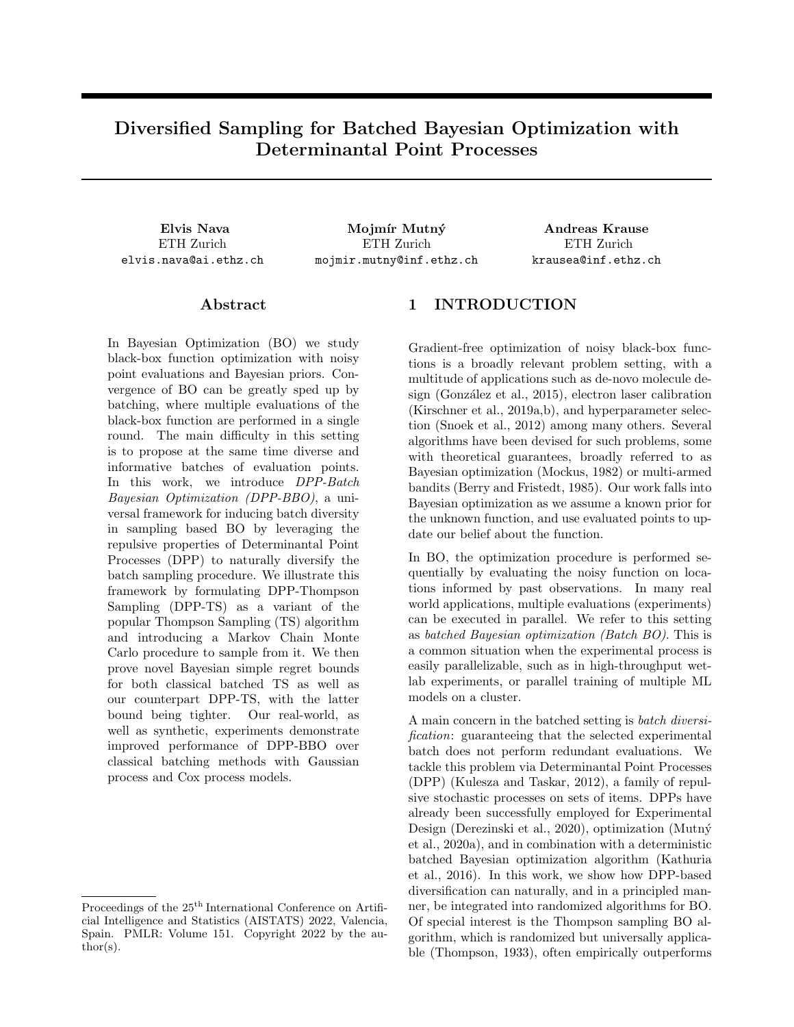Then Batched Thompson Sampling attains Bayes Batch Cumulative Regret of

$$
BBCR_{TST,B} \quad \frac{C_1}{B} + \sqrt{C_2 \frac{T}{B} \beta_T \gamma_{TB}} \quad (9)
$$

with  $C_1 = 1$  for Case 1,  $C_1 = \frac{\pi^2}{6} + \frac{D_{\overline{2\pi}}}{12}$  for Case 2, and  $C_2 = \frac{2}{\log(1+\sigma^{-2})}$ .

Therefore,  $BSR_{\text{TS}T,B}$   $\frac{C_1}{TB} + \sqrt{C_2 \frac{1}{TB} \beta_T \gamma_{TB}}$ . We point to Appendix C.1 for proof. The bound from Kandasamy et al. (2018) (without an initialization phase) is similar, except for the presence of an  $exp(C)$ factor in the square root term, which scales linearly with B. Our version of the bound does not contain  $\exp(C)$ , allowing thus for sublinear regret in B.

## 5.2 BBCR bound for DPP-TS

We now shift the focus to our novel DPP-TS algorithm and obtain an equivalent bound. To do so, we modify the algorithm we developed and introduce DPP-TSalt, so that for every batch:

a) For the first sample in the batch  $x_{\text{DPP-TS-alt }t,1}$ , we sample from  $p_{\text{max},t}$  as in standard Thompson Sampling; b) For all the other samples  $x_{\text{DPP-TS-alt }t,b}$  with  $b \nightharpoonup [2, B]$ , we sample from joint  $P_{\text{DPP-TS } t}$ , using the most updated posterior variance matrix  $K_{t,1}$  to define the DPP kernel.

The reason why we introduced DPP-TS as such and not DPP-TS-alt in the first place is both for simplicity and because in practice their performance is virtually identical (see Appendix E). We have the following

### Theorem 5 (BBCR Bound for DPP-TS)

Consider the same assumptions as for Theorem 4. Then DPP-TS (in its DPP-TS-alt variant) attains Bayes Batch Cumulative Regret of

$$
\text{BBCR}_{\text{DPP-TS}T,B} \quad \frac{C_1}{B} + \sqrt{C_2 \frac{T}{B} \beta_T \gamma_{TB}} \quad C_3 \quad (10)
$$

with  $C_1 = 1$  for Case 1,  $C_1 = \frac{\pi^2}{6} + \frac{\sqrt{2\pi}}{12}$  for Case 2,  $C_2 = \frac{2}{\log(1+\sigma^{-2})}$ , and  $C_3 < 0$  (defined in Appendix C.2).

We can thus obtain  $BSR_{\text{DPP-TS}_{T,B}}$  $\frac{C_1}{TB}$  $\frac{C_3}{T}$  +  $\sqrt{C_2 \frac{1}{TB} \beta_T \gamma_{TB}}$ . Moreover, this bound is necessarily tighter than that for standard TS:  $\frac{C_1}{TB}$   $\frac{C_3}{T}$  +  $\sqrt{C_2 \frac{1}{TB} \beta_T \gamma_{TB}}$   $\frac{C_1}{TB} + \sqrt{C_2 \frac{1}{TB} \beta_T \gamma_{TB}}$ . We point to Appendix C.2 for the proof.

# 6 EXPERIMENTS AND COMPARISONS

To make the case for our algorithmic framework's effectiveness in practice, we perform a series of benchmark tests on synthetic and real world optimization problems, comparing DPP-BBO against classic BBO algorithms on Simple Regret metrics. (Cumulative Regret comparisons feature in Appendix E.)

#### 6.1 DPP-TS Comparisons on Synthetic Data

We first compare DPP-TS on synthetic benchmarks against regular batched TS, GP-BUCB, hallucinated TS (Batched Thompson Sampling with hallucinations as in GP-BUCB), Pure DPP Exploration (DPP sampling from the DPP component of DPP-TS) and Uniform Exploration (uniform random sampling over the domain). We exclude algorithms that are not applicable to continuous domains.

Figure 2 details a number of such comparisons on synthetic benchmark functions under different settings, averaged over 15 experimental runs. For 2.a and 2.b we optimize over a discrete finite domain  $X$ , using an exact Gaussian Process prior with a squared exponential kernel. The acquisition function is maximized by calculation of the explicit maximum over the discretized domain.

For 2.c and 2.d, we optimize over a continuous domain  $X = [0, l]^d$ , using an approximate Gaussian Process prior specified with Quadrature Fourier Features (Mutný and Krause, 2018). These functions are additive and, hence, the optimization can be done dimension-wise. When optimizing the onedimensional projection of the acquisition function we use first order gradient descent with restarts.

Specific benchmarks we use are the Rosenbrock function  $f(x) = 100(x_2 - x_1^2)^2 + (x_1 - 1)^2$ ; the Stiblinski-Tang function  $f(x) = \frac{1}{2} \sum_{i=i}^{d} (x_i^4 - 16x_i^2 + 5x_i);$ and the Michalewicz function  $f(x)$  =  $\sum_{i=i}^{d} \sin(x_i) \sin^{2d}(ix_i^2/\pi).$ 

Overall, DPP-TS converges very quickly to sampling good maximizers, almost always beating or at least equaling the Simple Regret performance of the other algorithms, while exhibiting low-variance behavior. The added diversity from the DPP sampling procedure appears to favor quickly finding better maxima while not getting stuck in suboptimal but high-confidence regions, as seems to often happen to GP-UCB. A series of additional experiments is discussed in Appendix E, including experiments on Cumulative Regret, DPP-TS with parametrized DPP kernels, and a comparison between DPP-TS and DPP-TS-alt which shows them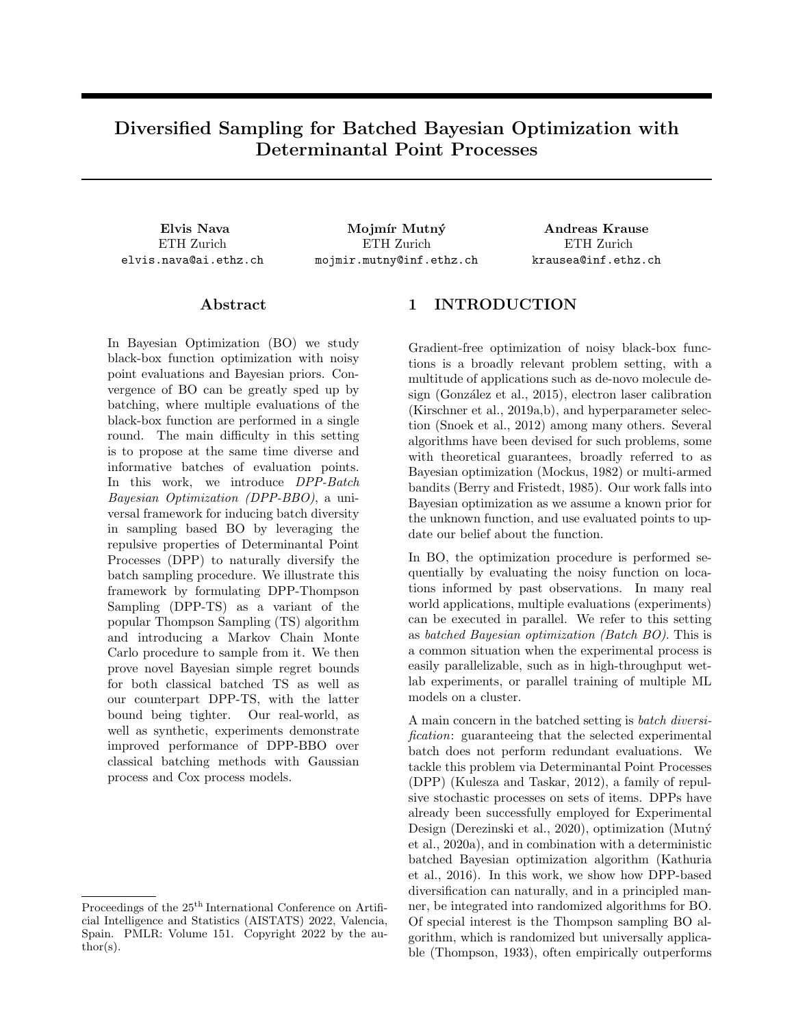

Figure 2: Comprehensive experimental comparisons between DPP-TS and classic BBO techniques for Simple Regret (log scale): **a**) f sampled from Squared Exponential GP; **b**) Rosenbrock; **c**) Styblinski-Tang; **d**) Michalewicz; e) PHE experiment with f sampled from QFF Squared Exponential GP;  $f$ ) Cox process sensing experiment on the Porto taxi dataset. The named functions are defined in Section 6.1. Overall, DPP-TS outperforms or equals the other algorithms, quickly sampling good maximizers thanks to improved batch diversification.

to be of equivalent performance in practice.

#### 6.2 DPP-Perturbed History Exploration

To further demonstrate the effectiveness and versatility of the DPP-BBO framework, we apply it to the recently introduced Perturbed History Exploration (PHE) algorithm (Kveton et al., 2020). PHE is a BO algorithm which is agnostic of the specific model  $f_{\theta}$  chosen for modeling f. Assuming that rewards are bounded, and given a parameter  $a$ , the algorithm introduces pseudo-rewards a for each observation in its global history, and at each step maximizes its learned perturbed  $f_{\theta}$  to propose a new evaluation point. We can interpret this procedure as sampling from  $p_{\text{PHE},t}(x)$ , with the stochastic component stemming from the pseudo-reward generation. Given this, we can define DPP-PHE as  $P_{\text{DPP-PHE},t}(X)$  /  $\left(\prod_{x\geq X}p_{\text{PHE},t}(x)\right)\det(I+\sigma^{-2}K_{tX})$  where  $K_t$  is an approximation of the Bayesian posterior covariance for the  $f_{\theta}$  model.

Figure 2.e experimentally compares PHE and DPP-PHE for  $a = 0.5$  and  $a = 1$  on a synthetic function (over a continuous  $X$ ) sampled from a 1-d squared exponential GP prior, while using as internal model a QFF GP regression. We can see that DPP-PHE improves on the Simple Regret when compared to regular PHE for the same a.

## 6.3 DPP-TS and Cox Process Sensing

To benchmark our DPP-TS algorithm on a real world setting and demonstrate the versatility of the modeling choice, we turn to a Cox Process Sensing problem in the form of taxi routing on a 2-dimensional city grid,

as considered by Mutný and Krause  $(2021)$ . Given a dataset of geo-localized taxi cab hails in Porto and a subdivision of the city into an 8x8 grid, we aim to learn the best locations where to schedule a fleet of taxis while, at beginning of each day - corresponding to a single iteration, we only observe the taxi hailing events in the grid cells which had vehicles scheduled to them.

We put a Gaussian process prior on the unknown rate function of a Poisson process, yielding a Cox Process with Poisson Process likelihood. The likelihood of observing a realization  $D = fx_n g_{n=1}^N$  over the domain  $X$  for a Poisson Process with rate function  $\lambda(.) \text{ is } p(D/\lambda(.)) = \exp(-\int_X \lambda(x) dx) \prod_n \lambda(x_n).$ This Poisson process specification is used in the construction of a Cox process model, which is  $p(D, \lambda(.), \Theta) = p(D \cup \lambda(.)) p(\lambda(.) \cup \Theta) p(\Theta)$ , with  $\lambda(.)$  being a Gaussian Process conditioned on being positive-valued over the domain. We adopt the inference scheme along with the approximation scheme to maintain positivity of the rate function from Mutn $\acute{y}$ and Krause (2022). The samples from the posterior are obtained via Langevin dynamics.

In our experiment, we compare TS for Cox Process Sensing from Mutný and Krause (2021) with our DPP-TS approach, leveraging our diversifying process to improve city coverage by our scheduled taxi fleets. As DPP kernel, we use the mutual information kernel that is obtained when the posterior for the rate function is approximated with a Gaussian distribution, known as the Laplace Approximation.

In Figure 2.f we depict allocation of 5 taxis to city blocks and report the simple regret. DPP-TS reliably achieves lower simple regret than standard Thompson Sampling sensing with resampling.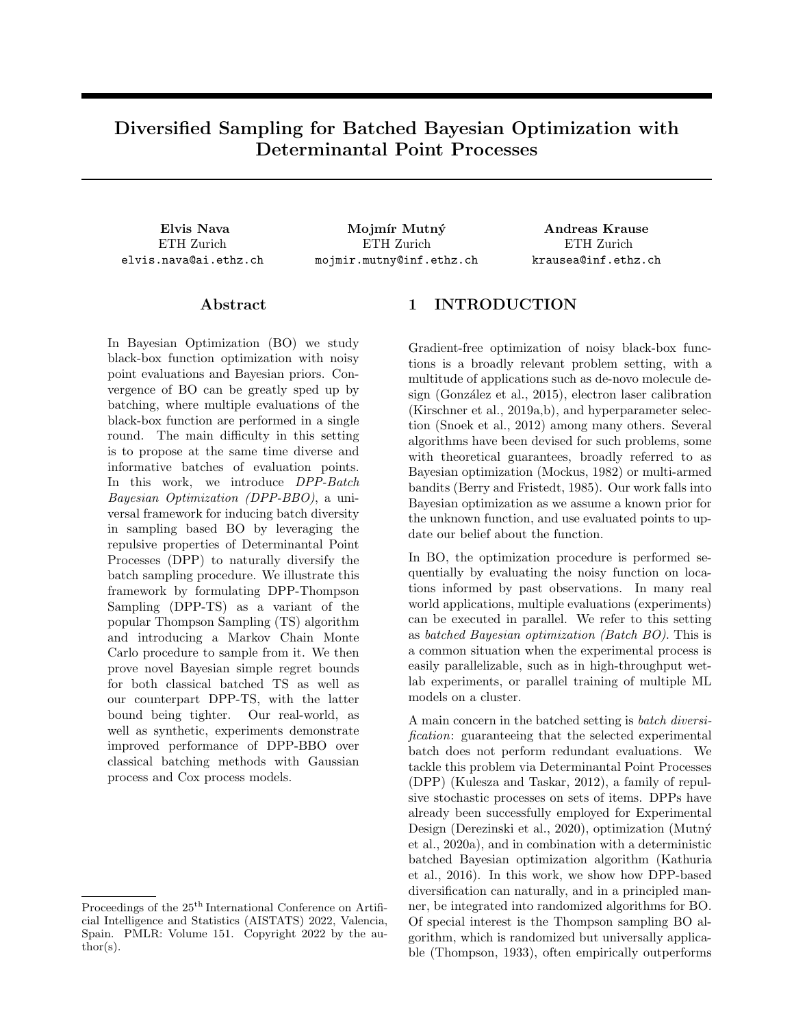# 7 CONCLUSIONS

In this work we introduced DPP-BBO, a natural and easily applicable framework for enhancing batch diversity in BBO algorithms which works in more settings than previous diversification strategies: it is directly applicable to the continuous domain case, when due to approximation and non-standard models we are unable to compute hallucinations or confidence intervals (as in the Cox process example), or more generally when used in combination with any randomized BBO sampling scheme or arbitrary diversity kernel. Moreover, for DPP-TS we show improved theoretical guarantees and strong practical performance on simple regret.

## Acknowledgements

This research was supported by the ETH AI Center and the SNSF grant 407540 167212 through the NRP 75 Big Data program. This publication was created as part of NCCR Catalysis (grant number 180544), a National Centre of Competence in Research funded by the Swiss National Science Foundation.

#### References

- Anari, N., Gharan, S. O., and Rezaei, A. (2016). Monte Carlo Markov Chain Algorithms for Sampling Strongly Rayleigh Distributions and Determinantal Point Processes.  $arXiv:1602.05242$  [cs, math). arXiv: 1602.05242.
- Azimi, J., Fern, A., and Fern, X. (2010). Batch bayesian optimization via simulation matching. In Lafferty, J., Williams, C., Shawe-Taylor, J., Zemel, R., and Culotta, A., editors, Advances in Neural Information Processing Systems, volume 23. Curran Associates, Inc.
- Berry, D. A. and Fristedt, B. (1985). *Bandit problems:* Sequential Allocation of Experiments. Monographs on Statistics and Applied Probability. Springer Netherlands.
- Brochu, E., Cora, V. M., and de Freitas, N. (2010). A Tutorial on Bayesian Optimization of Expensive Cost Functions, with Application to Active User Modeling and Hierarchical Reinforcement Learning. arXiv:1012.2599 [cs]. arXiv: 1012.2599.
- Chapelle, O. and Li, L. (2011). An empirical evaluation of thompson sampling. In Advances in neural information processing systems, pages 2249–2257.
- Contal, E., Buffoni, D., Robicquet, A., and Vayatis, N. (2013). Parallel Gaussian Process Optimization with Upper Confidence Bound and Pure Exploration. arXiv:1304.5350 [cs, stat], 7908:225–240. arXiv: 1304.5350.
- Derezinski, M., Liang, F., and Mahoney, M. (2020). Bayesian experimental design using regularized determinantal point processes. In International Conference on Artificial Intelligence and Statistics, pages 3197–3207. PMLR. ISSN: 2640-3498.
- Desautels, T., Krause, A., and Burdick, J. W. (2014). Parallelizing Exploration-Exploitation Tradeoffs in Gaussian Process Bandit Optimization. Journal of Machine Learning Research, 15(119):4053–4103.
- Deshpande, A. and Rademacher, L. (2010). Efficient volume sampling for row/column subset selection.  $arXiv:1004.4057$  [cs]. arXiv: 1004.4057.
- Gonzalez, J., Dai, Z., Hennig, P., and Lawrence, N. (2016). Batch bayesian optimization via local penalization. In Gretton, A. and Robert, C. C., editors, Proceedings of the 19th International Conference on Artificial Intelligence and Statistics, volume 51 of Proceedings of Machine Learning Research, pages 648–657, Cadiz, Spain. PMLR.
- González, J., Longworth, J., James, D. C., and Lawrence, N. D. (2015). Bayesian Optimization for Synthetic Gene Design. arXiv:1505.01627 [stat]. arXiv: 1505.01627.
- Hastings, W. K. (1970). Monte Carlo Sampling Methods Using Markov Chains and Their Applications. Biometrika, 57(1):97–109. Publisher: [Oxford University Press, Biometrika Trust].
- Kandasamy, K., Krishnamurthy, A., Schneider, J., and Poczos, B. (2018). Parallelised Bayesian Optimisation via Thompson Sampling. In International Conference on Artificial Intelligence and Statistics, pages 133–142. PMLR. ISSN: 2640-3498.
- Kathuria, T., Deshpande, A., and Kohli, P. (2016). Batched Gaussian Process Bandit Optimization via Determinantal Point Processes. arXiv:1611.04088  $\sqrt{cs}$ . arXiv: 1611.04088.
- Kirschner, J., Mutn´y, M., Hiller, N., Ischebeck, R., and Krause, A. (2019a). Adaptive and safe bayesian optimization in high dimensions via one-dimensional subspaces. ICML 2019.
- Kirschner, J., Nonnenmacher, M., Mutn`y, M., Krause, A., Hiller, N., Ischebeck, R., and Adelmann, A. (2019b). Bayesian optimisation for fast and safe parameter tuning of swissfel. In FEL2019, Proceedings of the 39th International Free-Electron Laser Conference, pages 707–710. JACoW Publishing.
- Kulesza, A. and Taskar, B. (2012). Determinantal point processes for machine learning. Foundations and Trends $\mathcal{R}$  in Machine Learning, 5(2-3):123-286. arXiv: 1207.6083.
- Kveton, B., Szepesvári, C., Ghavamzadeh, M., and Boutilier, C. (2020). Perturbed-History Exploration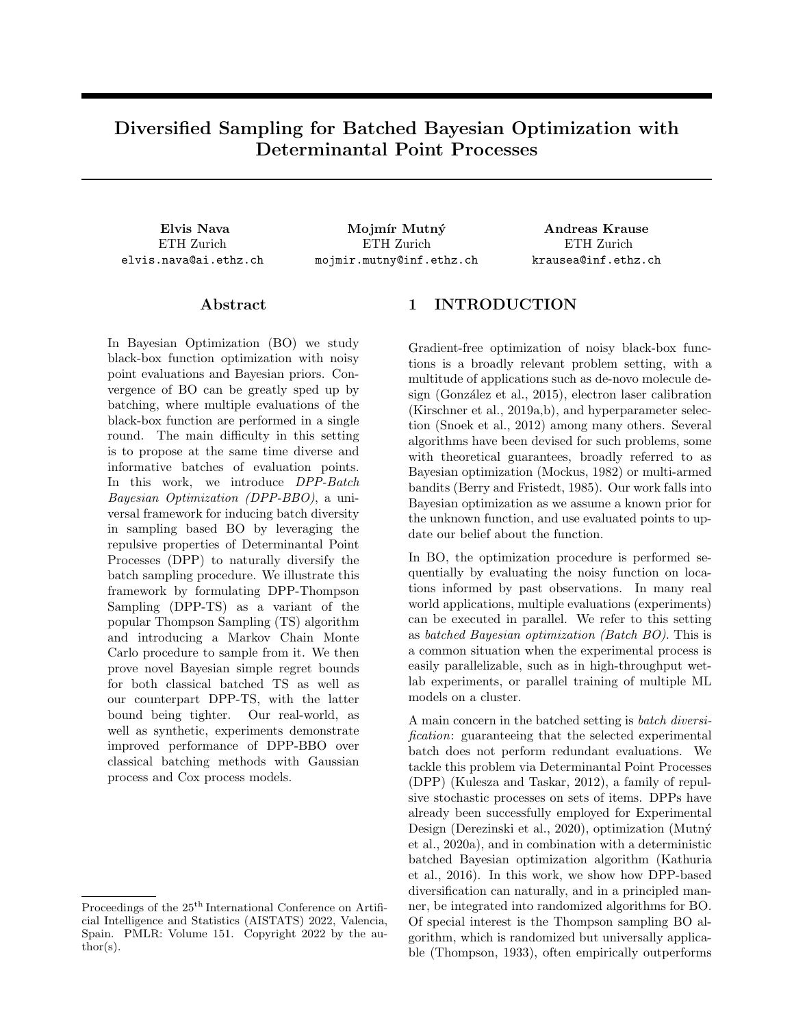in Stochastic Linear Bandits. In Uncertainty in Artificial Intelligence, pages 530–540. PMLR. ISSN: 2640-3498.

- Li, C., Jegelka, S., and Sra, S. (2016). Fast DPP Sampling for Nyström with Application to Kernel Methods. arXiv:1603.06052 [cs]. arXiv: 1603.06052.
- Mockus, J. (1982). The bayesian approach to global optimization. System Modeling and Optimization, pages 473–481.
- Mutn´y, M., Derezisnki, M., and Krause, A. (2020a). Convergence analysis of block coordinate algorithms with determinantal sampling. In Proceedings of the 23rd International Conference on Artificial Intelligence and Statistics (AISTATS). AISTATS.
- Mutn´y, M., Johannes, K., and Krause, A. (2020b). Experimental design for orthogonal projection pursuit regression. AAAI2020.
- Mutn´y, M. and Krause, A. (2018). Efficient High Dimensional Bayesian Optimization with Additivity and Quadrature Fourier Features. In Advances in Neural Information Processing Systems, volume 31. Curran Associates, Inc.
- Mutný, M. and Krause, A. (2021). No-regret algorithms for capturing events in poisson point processes. In Meila, M. and Zhang, T., editors, Proceedings of the 38th International Conference on Machine Learning, volume 139 of Proceedings of Machine Learning Research, pages 7894–7904. PMLR.
- Mutný, M. and Krause, A. (2022). Sensing cox processes via posterior sampling and positive bases. AISTATS 2022.
- Nguyen, V., Le, T., Yamada, M., and Osborne, M. A. (2021). Optimal Transport Kernels for Sequential and Parallel Neural Architecture Search. arXiv:2006.07593 [cs, stat]. arXiv: 2006.07593.
- Rasmussen, C. E. and Williams, C. K. I. (2005). Gaussian Processes for Machine Learning. Adaptive Computation and Machine Learning series. MIT Press, Cambridge, MA, USA.
- Rezaei, A. and Gharan, S. O. (2019). A Polynomial Time MCMC Method for Sampling from Continuous Determinantal Point Processes. In International Conference on Machine Learning, pages 5438–5447. PMLR. ISSN: 2640-3498.
- Russo, D. and Van Roy, B. (2014). Learning to Optimize via Posterior Sampling. Mathematics of Operations Research, 39(4):1221–1243. Publisher: IN-FORMS.
- Russo, D., Van Roy, B., Kazerouni, A., Osband, I., and Wen, Z. (2020). A Tutorial on Thompson Sampling. arXiv:1707.02038 [cs]. arXiv: 1707.02038.
- Scarlett, J., Bogunovic, I., and Cevher, V. (2017). Lower bounds on regret for noisy gaussian process bandit optimization. arXiv preprint arXiv:1706.00090.
- Snoek, J., Larochelle, H., and Adams, R. P. (2012). Practical Bayesian Optimization of Machine Learning Algorithms.  $arXiv:1206.2944$  [cs, stat]. arXiv: 1206.2944.
- Srinivas, N., Krause, A., Kakade, S., and Seeger, M. (2010). Gaussian Process Optimization in the Bandit Setting: No Regret and Experimental Design. In ICML.
- Thompson, W. R. (1933). On the likelihood that one unknown probability exceeds another in view of the evidence of two samples. Biometrika, 25(3/4):285– 294.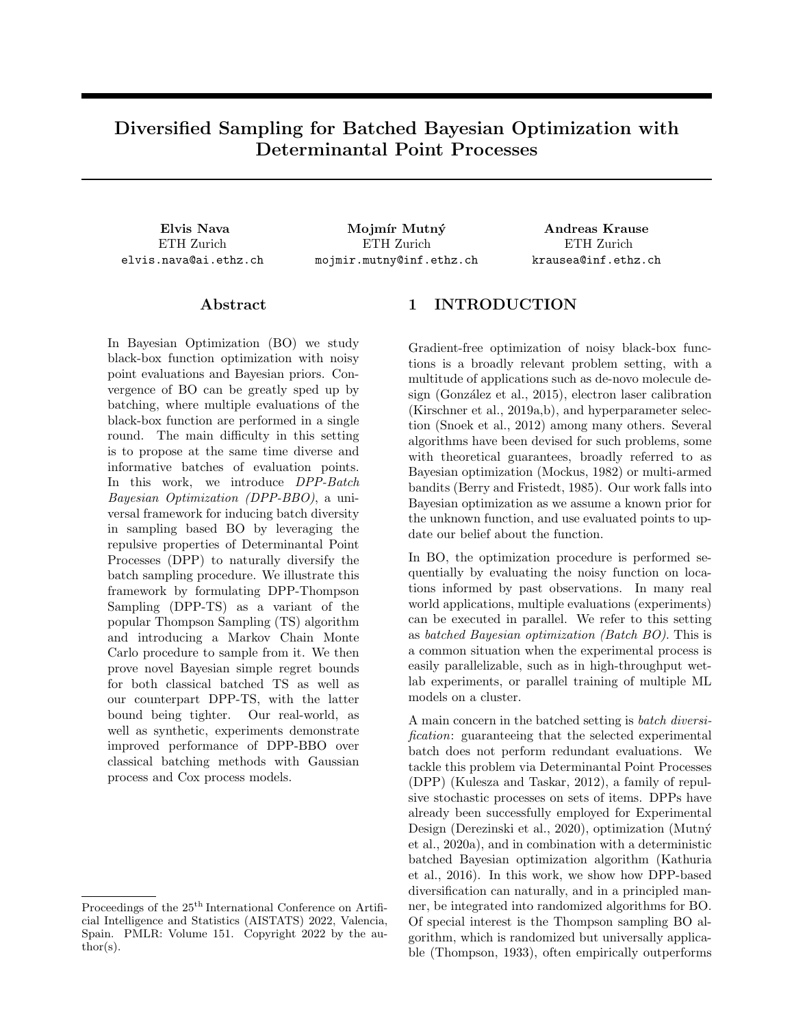# Supplementary Material: Diversified Sampling for Batched Bayesian Optimization with Determinantal Point Processes

## Appendix A MARKOV CHAIN MONTE CARLO SAMPLING FOR DPP-BBO

Our approach for sampling from  $P_{\text{DPP-TS } t}$  leverages a Markov Chain Monte Carlo (MCMC) sampler. We construct an ergodic Markov Chain over batches from  $\Omega = fXjX \quad X, jXj = kg$  with transition kernel  $T(X^{\theta}jX)$ such that the Detailed Balance equation

$$
Q(X)T(X^{\theta}) = Q(X^{\theta})T(X/X^{\theta})
$$
\n(11)

is satisfied almost surely with respect to  $P_{\text{DPP-TS }t}$ , with  $Q(X) = P_{\text{max }t}(X) \det(L_X)$  being the unnormalized potential of  $P_{\text{DPP-TS }t}$ .

Running the Markov chain will at the limit produce a limiting distribution  $\pi(X)$  independent of the initial distribution  $\pi_0(X)$ . If the above mentioned property of Detailed Balance is satisfied,  $\pi(X)$  will be equivalent to the true distribution  $P_{\text{DPP-TS }t}$ , meaning we can use the Markov Chain to approximately sample from  $P_{\text{DPP-TS }t}$ provided we run it long enough.

If  $Q(X)$  were tractable, we could use the standard Metropolis-Hastings algorithm (Hastings, 1970): at each step sampling a candidate batch  $X^{\ell}$  from a proposal distribution  $R(X^{\ell}/X)$ , then accepting the candidate with probability  $\alpha = \min\left\{1, \frac{Q(X^{\theta})R(X/X^{\theta})}{Q(X)R(X^{\theta})X}\right\}$ o .

#### Algorithm 3 Metropolis-Hastings MCMC

sample initial  $X$  at random repeat sample candidate  $X^{\theta}$   $R(X^{\theta}/X)$ accept with probability  $\alpha = \min\left\{1, \frac{Q(X^{\beta})R(X|X^{\beta})}{Q(X)R(X^{\beta}|X)}\right\}$ o if accepted then  $X = X^{\theta}$ end if until converged

Theorem 6 (Metropolis-Hastings (Hastings, 1970)) The Markov Chain obtained from the Metropolis-Hastings Algorithm satisfies the Detailed Balance equation  $Q(X)T(X^{\theta}X) = Q(X^{\theta})T(X^{\theta}X)$  over the support of the proposal distribution  $R(X^{\theta}/X)$ .

*Proof.* — We assume that  $R(X^{\ell}/X) > 0$   $\partial X$ ,  $X^{\ell}$ , and we analyze the two cases for the Detailed Balance equation.

- Case  $X = X^0$ : The equivalence is trivial for any  $T(X/X)$ .
- Case  $X \notin X^0$ :

We can express the transition kernel as  $T(X^{\ell}/X) = \alpha R(X^{\ell}/X)$ . Assume that for the transition  $X \subseteq X^{\ell}$ we have  $\frac{Q(X^0)R(X/X^0)}{Q(X)R(X^0/X)} < 1$ , and therefore  $T(X^0/X) = \frac{Q(X^0)R(X/X^0)}{Q(X)R(X^0/X)}R(X^0/X) = \frac{Q(X^0)R(X/X^0)}{Q(X)}$  $\frac{Q(X)}{Q(X)}$ . Then, for the inverse transition  $X^{\theta}$  ! X we necessarily have  $\frac{Q(X^{\theta})R(X/X^{\theta})}{Q(X)R(X^{\theta})X}$  1 and  $T(X/X^{\theta}) = R(X/X^{\theta})$ .

The resulting Detailed Balance equation is

$$
Q(X)\frac{Q(X^{\ell})R(X/X^{\ell})}{Q(X)} = Q(X^{\ell})R(X/X^{\ell})
$$
\n(12)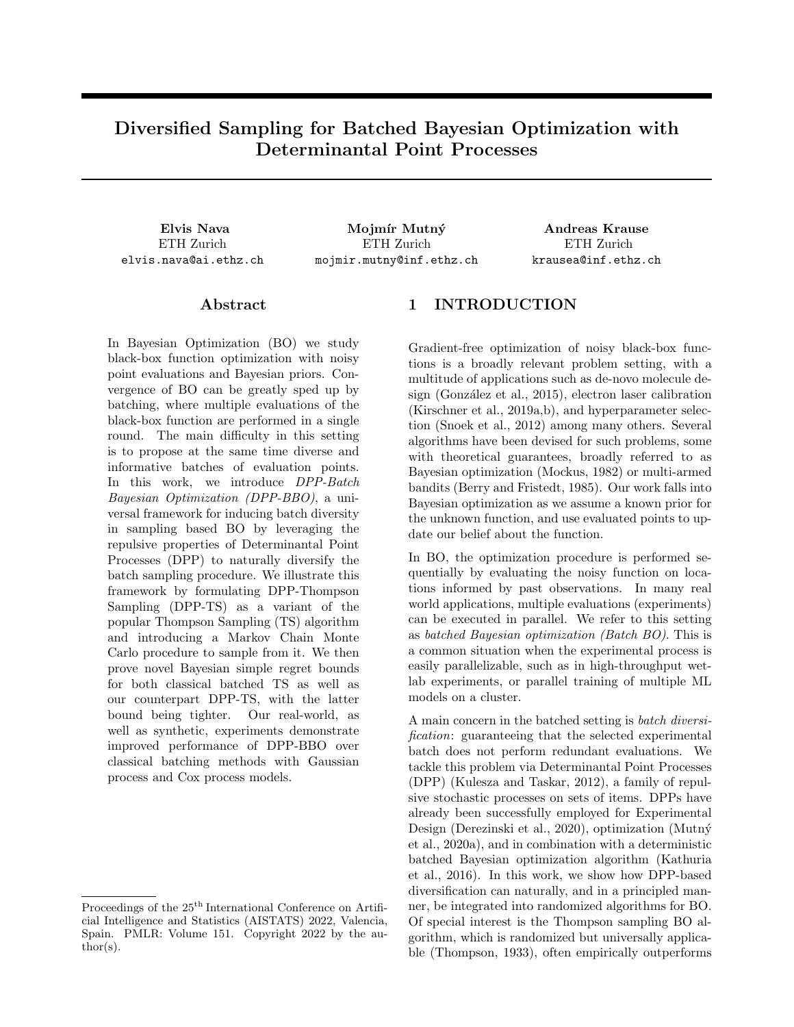and we have equality.

If the proposal distribution has the same support of the true distribution, Metropolis-Hastings allows us to approximately sample from it.

## A.1 Metropolis-Hastings with  $p_{\text{max}}$  proposals

The problem with naively using Metropolis-Hasting MCMC sampling is that our  $Q(X) = P_{\text{max }t}(X) \det(L_X)$ contains  $P_{\text{max}}(X) = \prod_{x_b 2X} p_{\text{max}}(x_b)$ , which is intractable and cannot be computed on the fly. As previously stated, the only thing we can easily do is sample from it by sampling  $\tilde{f}$  and then maximizing it. In order to obtain a suitable MCMC sampler, we need to subtly alter existing samplers.

We first propose an MCMC algorithm which samples whole batches at every step:

| Algorithm 4 Full batch MCMC sampler                                                         |
|---------------------------------------------------------------------------------------------|
| pick random initial batch $X$                                                               |
| repeat                                                                                      |
| sample candidate batch $X^{\theta}$ $P_{\text{max}}(X^{\theta})$                            |
| accept with probability $\alpha = \min\left\{1, \frac{\det(L_X \delta)}{\det(L_X)}\right\}$ |
| if accepted then                                                                            |
| $X=X^{\ell}$                                                                                |
| end if                                                                                      |
| until converged                                                                             |

This algorithm is equivalent to Metropolis-Hastings: if in MH we chose  $R(X^{\theta}/X) = P_{\text{max }t}(X^{\theta})$ , the fraction in the definition of the acceptance probability  $\alpha$  would in fact reduce to

$$
\frac{Q(X^{\theta})R(X/X^{\theta})}{Q(X)R(X^{\theta}/X)} = \frac{P_{\text{max}}(X^{\theta})\det(L_{X^{\theta}})P_{\text{max}}(X)}{P_{\text{max}}(X)\det(L_{X})P_{\text{max}}(X^{\theta})} = \frac{\det(L_{X^{\theta}})}{\det(L_{X})}.
$$
\n(13)

By virtue of this equivalence, Theorem 6 applies to our procedure as well and our sampler approximately samples from the true  $P_{\text{DPP-TS}}$  distribution.

In a similar fashion, it's possible to define a more efficient MCMC sampler which only changes one point from the batch at every step. Since we're in the k-DPP setting, it's possible for us to consider the distribution over a batch X as a k-dimensional multivariate distribution over the  $x_b$  2 X. Then, the obtained sampler can be seen as akin to a Gibbs sampler, and is the one showed in the main paper as Algorithm 1.

This again reduces to Metropolis-Hastings, with proposal

$$
R(X^{\theta})X = \begin{cases} 0 & \text{if } \mathcal{G}i, j : x_i^{\theta} \notin x_i \wedge x_j^{\theta} \notin x_j \\ \frac{1}{k}p_{\max}(x_i^{\theta}) & \text{if } !\mathcal{G}i : x_i^{\theta} \notin x_i \\ \sum_{x_i^{\theta} \geq X^{\theta}} \frac{1}{k}p_{\max}(x_i^{\theta}) & \text{if } X = X^{\theta} \end{cases}
$$
(14)

When sampling a proposal point with  $X \notin X^{\ell}$ , the fraction in the definition of the acceptance probability  $\alpha$ then becomes

$$
\frac{Q(X^{\theta})R(X/X^{\theta})}{Q(X)R(X^{\theta}/X)} = \frac{\left(\prod_{x_j^{\theta} \ge X^{\theta}} p_{\max}(x_j^{\theta})\right) \det(L_{X^{\theta}}) \frac{1}{k} p_{\max}(x_i)}{\left(\prod_{x_j \ge X} p_{\max}(x_j)\right) \det(L_X) \frac{1}{k} p_{\max}(x_i^{\theta})}
$$
(15)

$$
= \frac{\left(\prod_{x_j^{\rho} \ge X^{\rho} \cap \text{fix}_{i}^{\rho} g} p_{\text{max}}(x_j^{\rho})\right) \det(L_{X^{\rho}})}{\left(\prod_{x_j \ge X \cap \text{fix}_{i} g} p_{\text{max}}(x_j)\right) \det(L_X)} = \frac{\det(L_{X^{\rho}})}{\det(L_X)} \tag{16}
$$

the last simplification being allowed because X  $n \tau x_i g = X^{\theta} n \tau x_i^{\theta} g$ .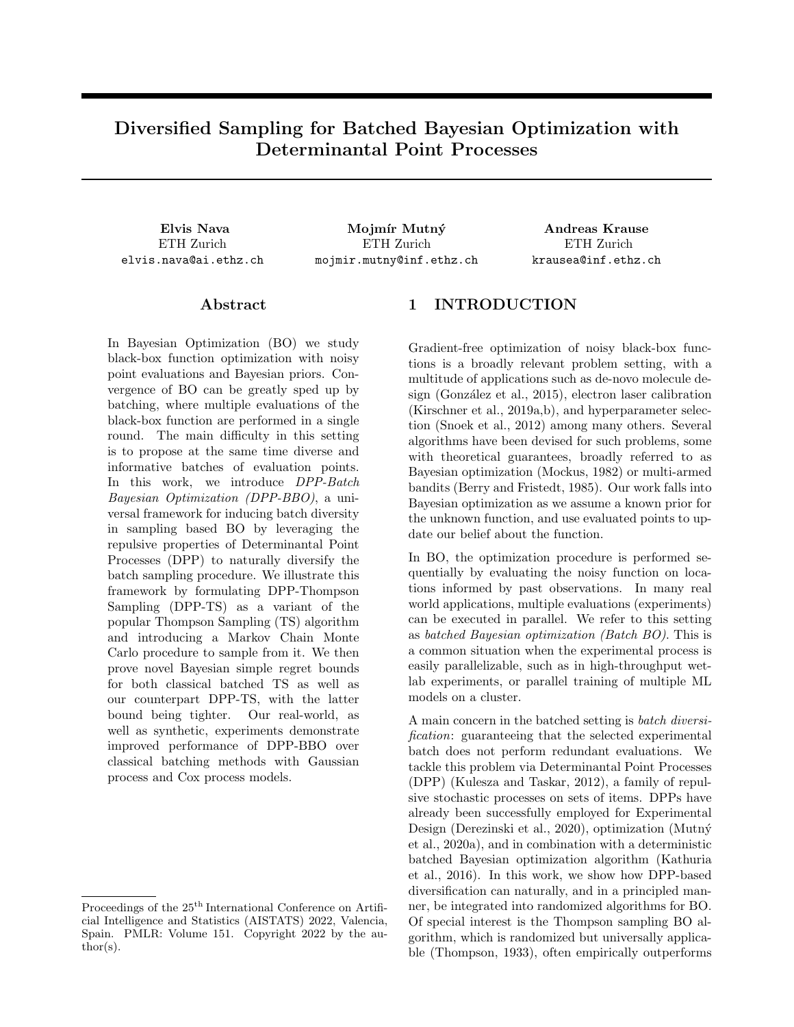The only difference from the MH formulation of Theorem 6 is that the support of  $R(X^{\theta}/X)$  is not the same of P<sub>DPP-TS</sub>, as we disallow sampling of batches  $X^{\theta}$  with more than one different element to X. However, since  $R(X^{\ell}/X) = 0$ ,  $R(X^{\ell}/X^{\ell}) = 0$ , we still satisfy detailed balance in all points. We can then see that k transitions are sufficient to obtain any  $X^{\theta}$  from an existing X when  $iX_j = k$ , and therefore our Markov Chain remains ergodic. With all conditions satisfited, even Algorithm 1 allows us to approximately sample from the true  $P_{\text{DPP-TS}}$ .

Algorithm 1 is a simple modification of an existing k-DPP sampler proposed by Anari et al. (2016). Furthermore, Rezaei and Gharan (2019) introduces a similar MCMC algorithm for continuous domain DPPs that performs efficiently under certain conditions. Because of its simplicity and effectiveness, Algorithm 1 is the one we use in all our experiments.

## A.2 Additional Gibbs samplers

To further demonstrate the simplicity of converting existing k-DPP samplers to  $P_{\text{DPP-TS}}$  samplers, we modify Li et al.  $(2016)$ 's algorithm to sample from our  $P_{\text{DPP-TS}}$ .

Algorithm 5 Modified Gibbs sampler from Li et al. (2016)

```
pick random initial batch X
repeat
     Sample b from uniform Bernoulli distribution
     if b = 1 then
         uniformly pick point x_i \nightharpoonup X to replace
          sample candidate point x_i^{\ell}  p_{\text{max}}(x_i^{\ell})define X^{\theta} = X n f x_i g \int f x_i^{\theta} gaccept with probability \alpha = \frac{\det(L_{X^0})}{\det(L_{X^0}) + \det(L_{X^0})}det(L_X\mathbf{0})+det(L_X)if accepted then
              X = X^{\theta}end if
     end if
until converged
```
Repeating the same steps used for the other Single-point proposal MCMC sampler, we can check that this also satisfies detailed balance. Overall, the procedure is very similar to our preferred Algorithm 1.

## Appendix B MUTUAL INFORMATION AND EXPERIMENTAL DESIGN

Modern theoretical analyses of Bayesian Optimization algorithms such as that of Srinivas et al. (2010) make use of Mutual Information and other information-theoretic quantities related to f. A comprehensive definition of such concepts is also required for our regret analysis.

The main quantity of interest in the aforementioned analysis is indeed the *Mutual Information I(f;*  $\mathbf{y}_{1:T}$ ) between f and a set of observations  $\mathbf{y}_{1:T}$  from points  $X_{1:T} = fx_1, \ldots, x_Tg$ , sometimes referred to as Information Gain. This measures the amount of information learned about the function f by observing  $\mathbf{y}_{1:T}$ , and for a GP it can be written as

$$
I(f; \mathbf{y}_{1:T}) = H(\mathbf{y}_{1:T}) \quad H(\mathbf{y}_{1:T}/f) = \frac{1}{2} \sum_{t=1}^{T} \log (1 + \sigma^{-2} \sigma_t^2(x_t)) \tag{17}
$$

$$
= \frac{1}{2} \log \det (I + \sigma^{-2} K_{X_{1:T}})
$$
\n(18)

where  $H(\mathbf{y}_{1:T})$  is the differential entropy of the distribution over observations  $\mathbf{y}_{1:T}$ ,  $H(\mathbf{y}_{1:T}/f)$  is the differential entropy of the observations conditioned on f,  $\sigma_t^2(x_t)$  is the posterior variance over  $f(x_t)$  conditioned on the partial observations  $\mathbf{y}_{1:t-1}$ , and  $K_{X_{1:T}} = K(X_{1:T}, X_{1:T})$  is the kernel matrix for the prior GP.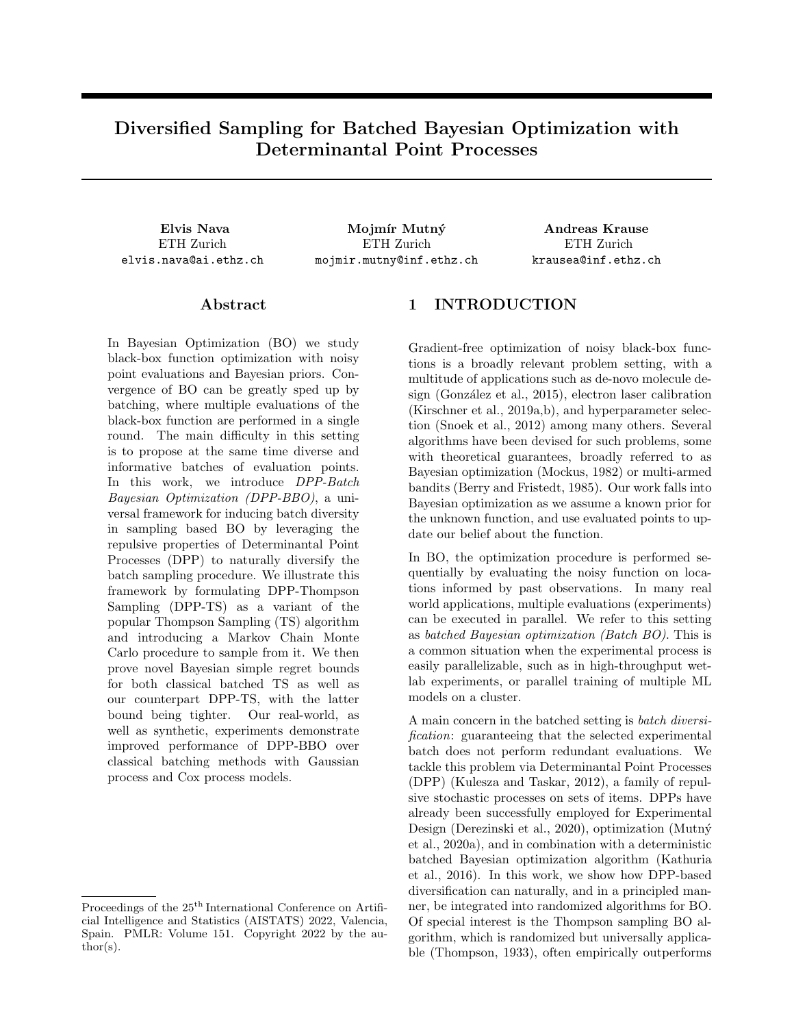The Conditional Mutual Information between f and observations  $y_{t:T}$  given previous observations  $y_{1:t-1}$  is then

$$
I\left(f; \mathbf{y}_{t:T}/\mathbf{y}_{1:t-1}\right) = H\left(\mathbf{y}_{t:T}/\mathbf{y}_{1:t-1}\right) \quad H\left(\mathbf{y}_{t:T}/f, \mathbf{y}_{1:t-1}\right) \tag{19}
$$

$$
=H\left(\mathbf{y}_{t:T}/\mathbf{y}_{1:t-1}\right) \quad H\left(\mathbf{y}_{t:T}/f\right) \tag{20}
$$

$$
= \frac{1}{2} \sum_{t^0 = t}^{T} \log \left( 1 + \sigma^{-2} \sigma_{t^0}^2(x_{t^0}) \right) = \frac{1}{2} \log \det \left( I + \sigma^{-2} K_{t X_{t:T}} \right) \tag{21}
$$

with  $K_t$  corresponding to the kernel matrix for the posterior kernel  $k_t$  of the GP conditioned on the observations  $\mathbf{y}_{1:t}$  1.

Mutual Information satisfies the property of *submodularity*, meaning that the information gain  $I(f; \mathbf{y}_X|\mathbf{y}_{1:t})$  over f of observations  $y_X$  incurs diminishing returns when conditioned on more and more samples  $y_{1:t}$ . Essentially, this means that  $I(f; \mathbf{y}_X|\mathbf{y}_{1:t}) = I(f; \mathbf{y}_X|\mathbf{y}_{1:t^{\theta}})$  for any  $t^{\theta} > t$ . The most information any set of observations  $\mathbf{y}_X$  is able to obtain on f would be at the very beginning  $I(f; \mathbf{y}_X)$ , not conditioned on any previous examples. Likewise, observing specific additional data will never increase the information any future samples will obtain.

Bayesian Optimization bounds often employ the *Maximum Information Gain*  $\gamma_T$  with respect to f obtainable from any observation set  $y_X$  of size at most  $T$ :

$$
\gamma_T = \max_{X \ge X, jXj} I(f; \mathbf{y}_X). \tag{22}
$$

This quantity also bounds any conditional information gain, as by submodularity  $I(f; y_X|y_{1:t}) - I(f; y_X)$ , as previously discussed.

## Appendix C NOVEL REGRET BOUNDS PROOFS

We recall the definition of Bayesian Batch Cumulative Regret for a generic Bayesian Optimization algorithm: Definition 7 (Bayes Batch Cumulative Regret)

$$
\text{BBCR}_{\text{algo}_{T,B}} = \mathbb{E}\bigg[\sum_{t=1}^{T} \min_{b \geq (1,B]} r_{\text{algo}_{t,b}}\bigg] = \mathbb{E}\bigg[\sum_{t=1}^{T} \min_{b \geq (1,B]} (f(x^*) - f(x_{\text{algo }t,b}))\bigg].\tag{23}
$$

We make use of proof techniques from Contal et al. (2013) and Russo and Van Roy (2014) to prove a bound on Bayesian Batch Cumulative Regret for TS and DPP-TS equivalent to one obtainable by sequential full-feedback (non batched) TS, and by consequence a bound on Bayesian Simple Regret.

#### C.1 The BBCR Bound Proof for TS

Before proving the bound for the novel DPP-TS, we do so for regular Batched Thompson Sampling.

We first recall a few statements from Russo and Van Roy (2014), necessary to justify subsequent steps in our proof. If given the current posterior GP( $\mu_t$ ,  $K_t$ ), we define the Upper Confidence Bound  $U_t(x) = \mu_t(x) + \frac{\beta_t}{\beta_t \sigma_t(x)}$ for any  $\beta_t$  exactly as in GP-UCB, we can show the following:

**Proposition 8 (Russo and Van Roy (2014))** For any  $U_t$  sequence defined by some  $\beta_t$  sequence

$$
BCR_{TS} \t T \t E \left[ \sum_{t=1}^{T} \left( U_t(x_{TSt}) - f(x_{TSt}) \right) \right] + \mathbb{E} \left[ \sum_{t=1}^{T} \left( f(x^{\star}) - U_t(x^{\star}) \right) \right]. \tag{24}
$$

This can be shown by first rewriting

$$
\mathbb{E}\left[\sum_{t=1}^{T}\left(f(x^{\star})-f(x_{\text{TS}_{t}})\right)\right]=\mathbb{E}\left[\sum_{t=1}^{T}\left(f(x^{\star})-U_{t}(x_{\text{TS}_{t}})+U_{t}(x_{\text{TS}_{t}})-f(x_{\text{TS}_{t}})\right)\right]
$$
(25)

$$
= \mathbb{E}\left[\sum_{t=1}^{T} \left(U_t(x_{\text{TS}_t}) - f(x_{\text{TS}_t})\right)\right] + \mathbb{E}\left[\sum_{t=1}^{T} \left(f(x^*) - U_t(x_{\text{TS}_t})\right)\right] \tag{26}
$$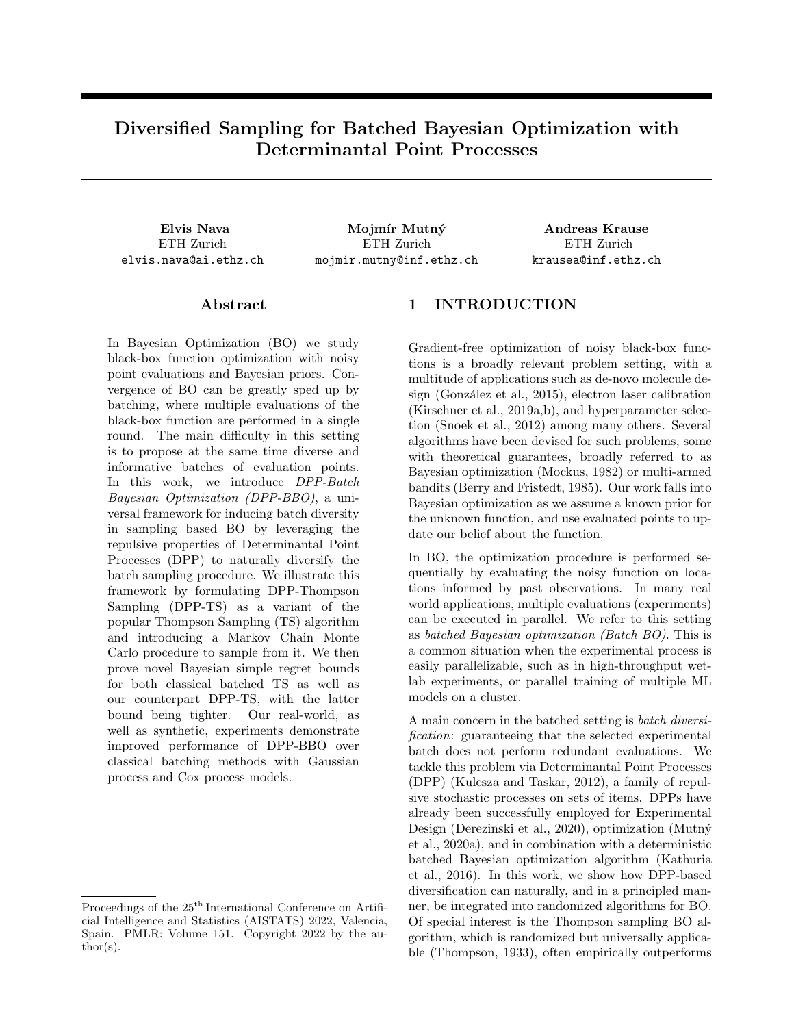and noticing that, conditioned on the history  $D_{t-1}$ ,  $x^*$  and  $x_{\text{TS}_t}$  are identically distributed and  $U_t(.)$  is a deterministic function. Therefore  $E[U_t(x^*)/D_{t-1}] = E[U_t(x_{\text{TS}_t})/D_{t-1}]$ , and the overall expectation over these terms maintains equality.

Russo and Van Roy (2014) the proceed to bound both components. Assuming a finite domain and using  $\beta_t = 2 \ln \left( \frac{B(t^2+1)/\chi}{2\pi} \right)$ , following them we obtain

$$
\mathbb{E}\left[f(x^{\star}) \quad U_t(x^{\star})\right] \quad \frac{1}{B(t^2+1)}, \qquad \mathbb{E}\left[\sum_{t=1}^T \left(f(x^{\star}) \quad U_t(x^{\star})\right)\right] \quad \frac{1}{B} \sum_{t=1}^T \left(\frac{1}{t^2+1}\right) \quad \frac{1}{B} \tag{27}
$$

and

$$
\mathbb{E}\left[U_t(x_{\text{TS}t}) \quad f(x_{\text{TS}t})\right] = \mathbb{E}\left[\sqrt{\beta_t} \sigma_t(x_{\text{TS}t})\right].\tag{28}
$$

With this established, as a first step in our proof we modify Lemma 1 from Contal et al. (2013) and introduce **Lemma 9** For finite X and  $\beta_t = 2 \ln \left( \frac{B(t^2+1)/X}{B \overline{2\pi}} \right)$  $\big)$ , we have

$$
\mathbb{E}\left[\min_{b\geq(1,B]}\mathbf{r}_{\mathsf{T}\mathsf{S}_{t,b}}\right] \quad \mathbb{E}\left[\mathbf{r}_{\mathsf{T}\mathsf{S}_{t,1}}\right] \quad \frac{1}{B(t^2+1)} + \mathbb{E}\left[\sqrt{\beta_t}\sigma_{t,1}(x_{\mathsf{T}\mathsf{S}_{t,1}})\right].\tag{29}
$$

 $Proof.$  —

$$
\mathbb{E}\left[\min_{b\geq [1,B]} r_{\text{TS}t,b}\right] \quad \mathbb{E}\left[r_{\text{TS}t,1}\right] = \mathbb{E}\left[f(x^*) \quad f(x_{\text{TS}t,1})\right] \tag{30}
$$

$$
= \mathbb{E}\bigg[f(x^*) \quad U_{t,1}(x^*) + U_{t,1}(x_{\text{TS } t,1}) \quad f(x_{\text{TS } t,1})\bigg]
$$
(31)

$$
\frac{1}{B(t^2+1)} + \mathbb{E}\bigg[\sqrt{\beta_t}\sigma_{t,1}(x_{\text{TS }t,1})\bigg].\tag{32}
$$

Step (31) can be performed due to Russo and Van Roy's Proposition 8, by adding and subtracting the UCB  $U_{t,1}(x_{\text{TS }t,1}) = \mu_{t,1}(x_{\text{TS }t,1}) + \frac{\beta_{t}}{\beta_{t}} \sigma_{t,1}(x_{\text{TS }t,1})$  and noticing that, conditioned on the history  $D_{t-1}, x^*$ and  $x_{\text{TS}_{t,1}}$  are identically distributed and  $U_{t,1}(.)$  is a deterministic function. Therefore  $E[U_{t,1}(x^*)]D_{t-1,B}$  $E[U_{t,1}(x_{\text{TS}t,1})/D_{t-1,B}].$ 

To obtain step (32), we then separate the terms from Equation (31) into  $E[f(x^*)\quad U_{t,1}(x^*)]$  and  $E[U_{t,1}(x_{\text{TS }t,1})]$  f( $x_{\text{TS }t,1}$ ), bounding the first with Equation (27) and the second with Equation (28).

After proving this essential Lemma, we proceed with adapting Lemma 2 from Contal et al. (2013). Unlike them, we need not bother with guarantees about a maximizer high probability region  $R^+$  as the one defined for GP-UCB-PE, as we are operating in expectation.

Lemma 10 In expectation, the deviation of the first point within a batch selected by TS is bounded by the one for any point within the previous batch selected by TS, thus

$$
\mathsf{E}\left[\sigma_{t+1,1}(x_{\mathsf{TS}_{t+1,1}})\right] \quad \mathsf{E}\left[\sigma_{t,b}(x_{\mathsf{TS}_{t,b}})\right] \qquad \mathsf{St}\ 2\ [1,T\quad1],\ \mathsf{Sb}\ 2\ [1,B].\tag{33}
$$

Proof. — For any time t, for every step  $(t, b)$  within the batch, the points  $x_{\text{TS}} t_b$  for TS are independently sampled from  $P_{\text{max }t,1}$ , which depends on history up to  $D_{t-1,B}$ . Therefore, given  $D_{t,b-1}$ ,  $\sigma_{t,b}(x)$  is a deterministic function, and  $x_{\text{TS }t,b}$  and the true  $x^*$  have the same distribution. We thus have that  $\partial t \geq [1,T]$ ,  $\partial b \geq [1,B]$ :

$$
E\left[\sigma_{t,b}(x_{\text{TS }t,b})\right] = E\left[E\left[\sigma_{t,b}(x_{\text{TS }t,b})\middle|D_{t,b-1}\right]\right]
$$
\n(34)

$$
= \mathbb{E}\bigg[\mathbb{E}\bigg[\sigma_{t,b}(x^{\star})\bigg|D_{t,b-1}\bigg]\bigg] = \mathbb{E}\bigg[\sigma_{t,b}(x^{\star})\bigg]
$$
(35)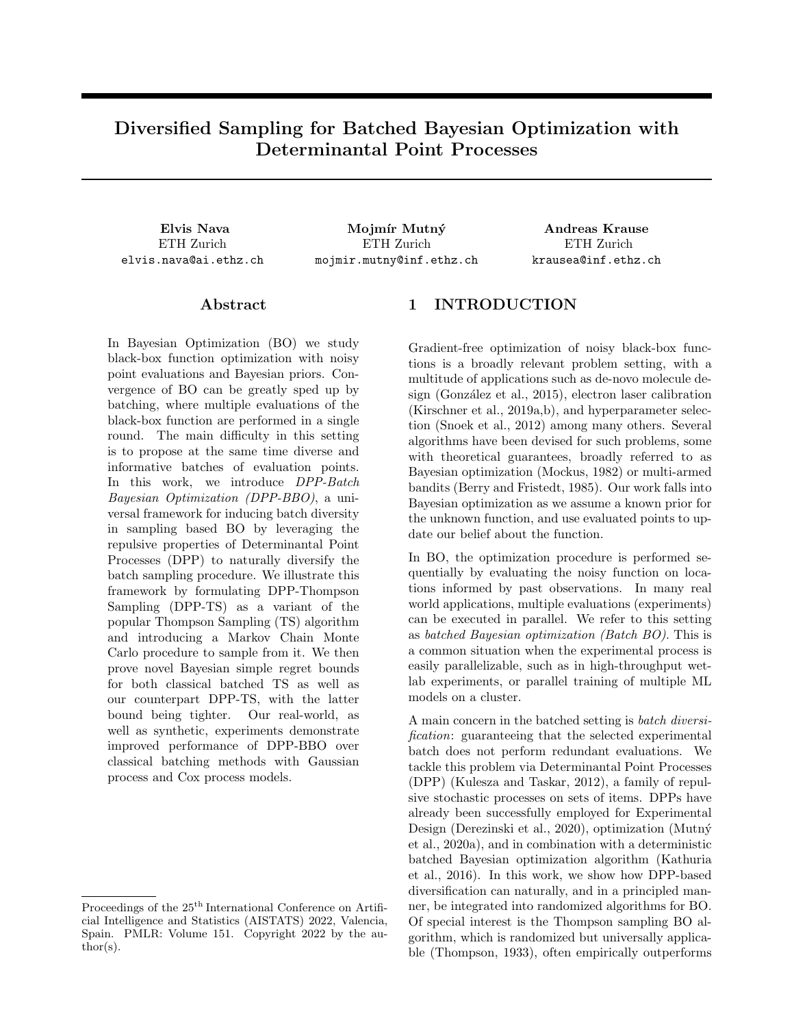Because of the law of non-increasing variance (Rasmussen and Williams, 2005), we have that

$$
\mathsf{E}\left[\sigma_{t+1,1}(x^{\star})\right] \quad \mathsf{E}\left[\sigma_{t,b}(x^{\star})\right] \qquad \mathcal{B}t\ 2\left[1,T\quad1\right],\ \mathcal{B}b\ 2\left[1,B\right] \tag{36}
$$

and therefore:

$$
\mathsf{E}\left[\sigma_{t+1,1}(x_{\text{TS }t+1,1})\right] \quad \mathsf{E}\left[\sigma_{t,b}(x_{\text{TS }t,b})\right] \qquad \mathsf{\&} \ 2\,[1,T \quad 1], \ \mathsf{\&} \ 2\,[1,B]. \tag{37}
$$

We can then introduce

Lemma 11 In expectation, the sum of deviations for the first points of all batches selected by TS is bounded by the sum of deviations for all points selected by TS, divided by B.

$$
E\left[\sum_{t=1}^{T} \sigma_{t,1}(x_{\text{TS }t,1})\right] \quad E\left[\frac{1}{B} \sum_{t=1}^{T} \sum_{b=1}^{B} \sigma_{t,b}(x_{\text{TS }t,b})\right]
$$
(38)

*Proof.* – For all  $t$ , using Lemma 10 and summing over  $b$ , we can get

$$
E\left[\sigma_{t,1}(x_{\text{TS }t,1}) + (B \quad 1)\sigma_{t+1,1}(x_{\text{TS }t+1,1})\right] \quad E\left[\sigma_{t,1}(x_{\text{TS }t,1}) + \sum_{b=2}^{B} \sigma_{t,b}(x_{\text{TS }t,b})\right]
$$
(39)

Summing both sides over  $t$  and dividing by  $B$ , we obtain the desired result.

**Lemma 12** Assuming without loss of generality that, for all t and b,  $(\sigma_{t,b}(x_{TS t,b}))^2$ 1, the sum of variances of the points selected by TS is bounded by a constant factor times  $\gamma_{TB}$ :

$$
\sum_{t=1}^{T} \sum_{b=1}^{B} \left( \sigma_{t,b}(x_{\text{TS } t,b}) \right)^2 \quad C_2 \gamma_{TB} \tag{40}
$$

with  $C_2 = 2/\log(1+\sigma^{-2})$  and  $\gamma_{TB}$  being the maximum information gain on f from TB observations as defined in Appendix B.

*Proof.* — The information gain on f from a sequence of  $TB$  observations can be expressed in terms of the posterior variances

$$
I\left(f(x_{1:T,1:B});\mathbf{y}_{1:T,1:B}\right) = \frac{1}{2} \sum_{t=1}^{T} \sum_{b=1}^{B} \log\left(1 + \sigma^{-2} \left(\sigma_{t,b}(x_{t,b})\right)^2\right) \tag{41}
$$

as seen in Appendix B, and is bounded by  $\gamma_{TB}$  by definition. We can then obtain, thanks to the bounded variance assumption:

$$
\sum_{t=1}^{T} \sum_{b=1}^{B} (\sigma_{t,b}(x_{\text{TS } t,b}))^{2} \quad \sum_{t=1}^{T} \sum_{b=1}^{B} \frac{1}{\log(1+\sigma^{2})} \log(1+\sigma^{2} (\sigma_{t,b}(x_{\text{TS } t,b}))^{2}) \tag{42}
$$

$$
= \frac{2}{\log(1+\sigma^{-2})} \, I \left( f(x_{\text{TS 1}:T,1:B}); \mathbf{y}_{1:T,1:B} \right). \tag{43}
$$

Finally, we can conclude by introducing our Bayesian Batch Cumulative Regret bound.

Theorem 13 (Bayes Batch Cumulative Regret Bound for Batched Thompson Sampling) If  $f$  $GP(0, K)$  with covariance kernel bounded by 1 and noise model  $N(0, \sigma^2)$ , and either

• Case 1: finite X and 
$$
\beta_t = 2 \ln \left( \frac{B(t^2+1)/Xj}{2\pi} \right)
$$
;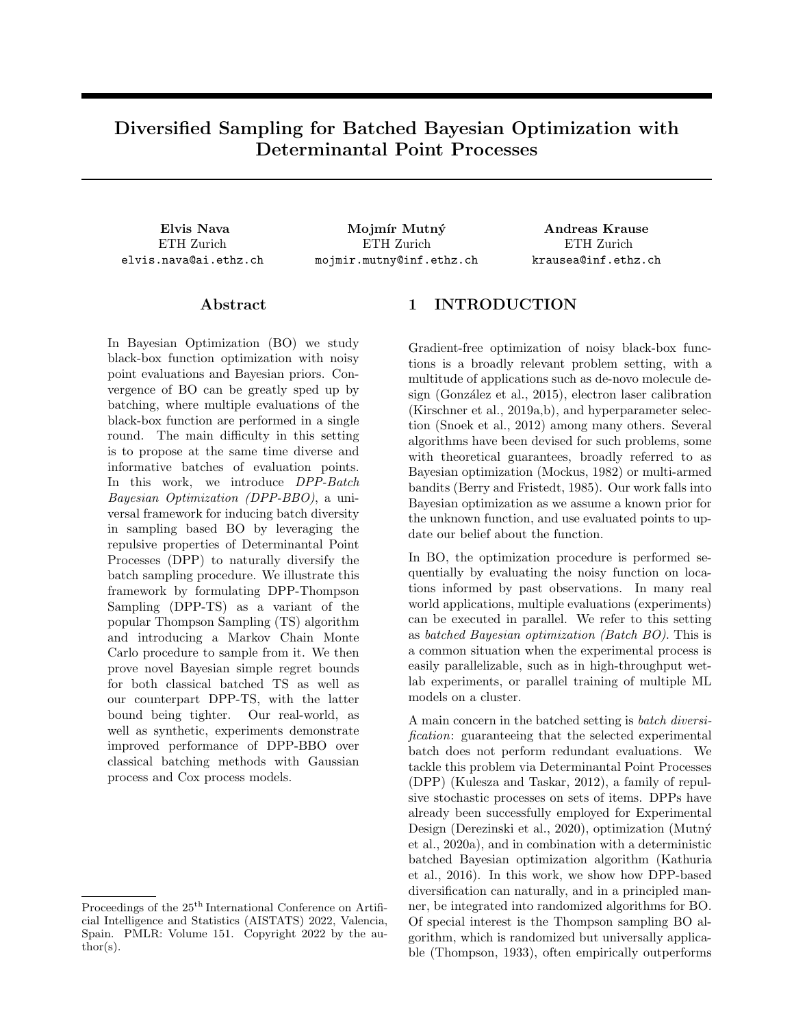• Case 2: compact and convex  $X \neq [0, l]^d$ , with Assumption 3 satisfied and  $\beta_t = 4(d+1)\log(Bt) +$  $2d\log(dab^{\mathcal{D}_{\overline{\pi}}}).$ 

Then Batched Thompson Sampling attains Bayes Batch Cumulative Regret of

$$
BBCR_{TST,B} \quad \frac{C_1}{B} + \sqrt{C_2 \frac{T}{B} \beta_T \gamma_{TB}}
$$
\n(44)

with  $C_1 = 1$  for Case 1,  $C_1 = \frac{\pi^2}{6} + \frac{p \overline{2\pi}}{12}$  for Case 2, and  $C_2 = \frac{2}{\log(1+\sigma^{-2})}$ .

Proof. — Using the previous lemmas together with Russo and Van Roy inequalities, we can show for Case 1:

$$
BBCR_{TST,B} = E \left[ \sum_{t=1}^{T} \min_{b \geq [1,B]} r_{TSt,b} \right] \quad E \left[ \sum_{t=1}^{T} r_{TSt,1} \right]
$$
\n(45)

$$
\sum_{t=1}^{T} \frac{1}{B(t^2+1)} + \mathbb{E}\bigg[\sum_{t=1}^{T} \sqrt{\beta_t} \sigma_{t,1}(x_{\text{TS}t,1})\bigg] \text{ by Lemma 9}
$$
 (46)

$$
\frac{C_1}{B} + \mathbb{E}\left[\sqrt{\beta_T} \frac{1}{B} \sum_{t=1}^T \sum_{b=1}^B \sigma_{t,b}(x_{t,b})\right] \text{ by Eq. (27) and Lemma 11} \tag{47}
$$

$$
\frac{C_1}{B} + \mathbb{E}\left[\sqrt{\beta_T} \frac{1}{B} \sqrt{TB \sum_{t=1}^T \sum_{b=1}^B (\sigma_{t,b}(x_{t,b}))^2}\right] \text{ by Cauchy-Schwartz}
$$
\n(48)

$$
\frac{C_1}{B} + \sqrt{C_2 \frac{T}{B} \beta_T \gamma_{TB}}
$$
 by Lemma 12 \t(49)

For Case 2, we simply modify the steps of Lemma 9 with the corresponding inequalities used by Kandasamy et al. (2018) for their continuous-domain version of the bound.

The bound we just derived scales equivalently to the bound obtainable by standard sequential TS with full feedback. This is in contrast to the bound previously obtained by Kandasamy et al. (2018) for Batched TS without initialization:

$$
BBCR_{TST,B} \quad \frac{C_1}{B} + \sqrt{C_2 \frac{T}{B} \exp(C)\beta_T \gamma_{TB}}
$$
\n
$$
(50)
$$

which depends on an additional factor  $\exp(C)$  dependent on B, rendering the bound not convergent in B unless a wasteful initialization procedure is performed before TS.

#### C.2 The BBCR Bound Proof for DPP-TS

We now consider DPP-TS again, and strive to obtain an equivalent bound.

In order to do so, we must modify the algorithm we developed and introduce DPP-TS-alt, so that for every batch:

- For the first sample in the batch  $x_{\text{DPP-TS-alt }t,1}$ , we sample from  $p_{\text{max }t}$  as in standard Thompson Sampling;
- For all the other samples  $x_{\text{DPP-TS-alt }t,b}$  with  $b \geq [2,B]$ , we sample from joint  $P_{\text{DPP-TS }t}$ , using the most updated posterior variance matrix  $K_{t,1}$  to define the DPP kernel.

We begin by noting that Lemma 9 is applicable to DPP-TS-alt as well, as  $x_{\text{DPP-TS-alt }t,1}$  behaves exactly in the same way as  $x_{TS t,1}$ , since DPP-TS-alt has been explicitly defined as using standard Thompson Sampling for the first sampled point of every batch.

Then, we must translate Lemma 10 to DPP-TS-alt as well, which requires a more involved proof. In fact, we must split the undertaking in three preliminary lemmas.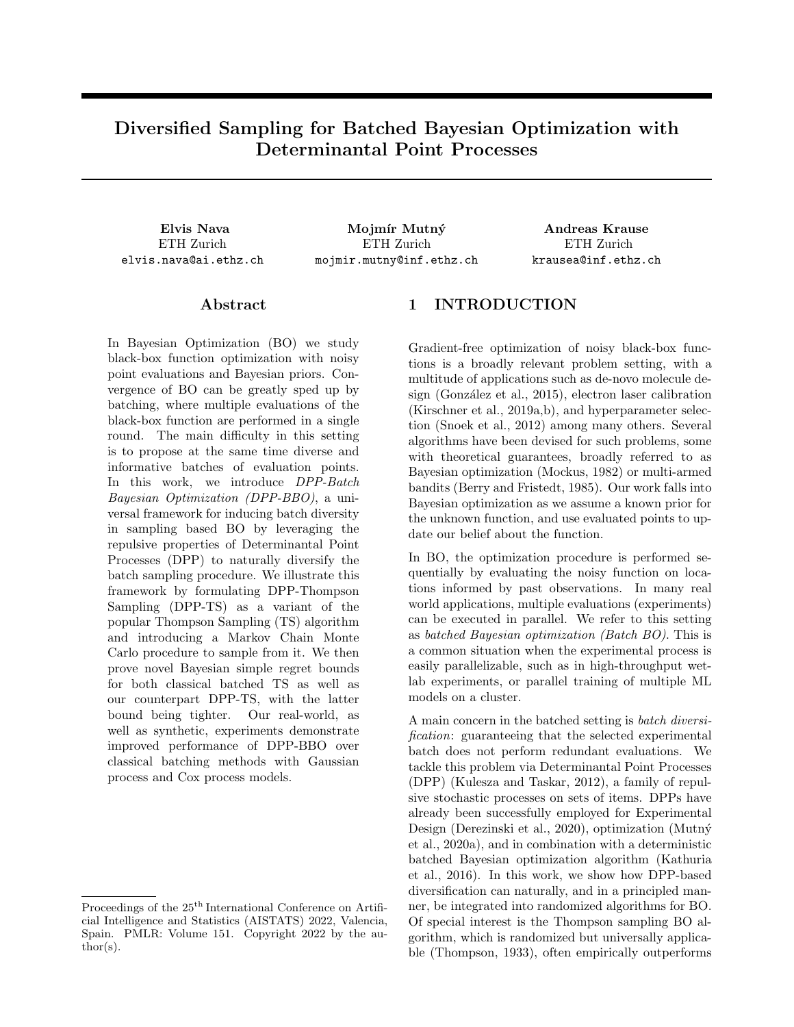First, when considering the batch sampled at time t, we introduce for sake of argument an *alternative point*  $\tilde{x}_{t,B}$  to take the place of the last sampled point of the batch  $x_{\text{DPP-TS-alt }t,B}$ . The original point  $x_{\text{DPP-TS-alt }t,B}$  is sampled from the DPP, and is distributed as  $x_{\text{DPP-TS-alt }t,B}$   $P_{\text{DPP-TS }t}(x_{t,B}|x_{t,1}, \ldots, x_{t,B} | 1) = p_{\text{DPP-TS }t,B}(x_{t,B})$  when conditioned on the previous points of the batch. Instead, we define the replacement as  $\tilde{x}_{t,B}$  p<sub>max t,1</sub>, sampled from standard Thompson Sampling with the posterior available from observations up to  $(t, 1)$ .

**Lemma 14** At time t, let  $x_{DPP-TS-dlt, B}$  be the last point of the batch chosen by DPP-TS-alt. Let us in its place define an alternative element  $\tilde{x}_{t,B}$  obtained by following the DPP-TS-alt procedure up to step  $(t, B \ 1)$ and then sampling using regular TS from the available maximizer posterior distribution  $p_{\text{max }t,1}$  instead of from conditioned  $p_{DPP-TS t,B}$ .

We can then show that

$$
\mathsf{E}\left[\sigma_{t+1,1}(x_{\mathsf{DPP}\text{-}\mathsf{TS}\text{-}\mathsf{alt }t+1,1})\right] \quad \mathsf{E}\left[\sigma_{t,B}(\tilde{x}_{t,B})\right].\tag{51}
$$

Proof. – Equations (34) and (36) are still valid for  $\tilde{x}_{t,B}$  (being sampled from TS), as conditioned on history  $D_{t,B}$ ,  $\tilde{x}_{t,B}$  has the same distribution of  $x^*$ , and so we obtain that

$$
E\left[\sigma_{t+1,1}(x_{\text{DPP-TS-alt }t+1,1})\right] = E\left[\sigma_{t+1,1}(x^{\star})\right]
$$
\n(52)

$$
E\left[\sigma_{t,B}(x^{\star})\right] = E\left[E\left[\sigma_{t,B}(\tilde{x}_{t,B})\bigg|D_{t,B-1}\right]\right]
$$
\n(53)

**Lemma 15** Given  $\tilde{x}_{t,B}$  defined as in Lemma 14, we have that

$$
\mathsf{E}\left[\sigma_{t,B}(\tilde{x}_{t,B})\right] \quad \mathsf{E}\left[\sigma_{t,B}(x_{\text{DPP-TS-alt }t,B})\right].\tag{54}
$$

*Proof.*  $\leftarrow$  To prove the lemma, we first observe that (from Appendix B)

=

$$
\det (I + \sigma^{-2} K_{t X_{1:B}}) = \prod_{b=1}^{B} (1 + \sigma^{-2} \sigma_b^{2}(x_b)). \tag{55}
$$

We then obtain the marginal distribution of the last point of a DPP-TS batch by summing over the domain:

$$
p_{\text{DPP-TS }t,B}(x_{t,B}) = \sum_{(x_{t,1},...,x_{t,B-1}) \ge X^{B-1}} P_{\text{DPP-TS }t}(x_{t,1},...,x_{t,B-1},x_{t,B})
$$
(56)

$$
\angle \sum_{(x_{t,1},...,x_{t,B-1}) \ge X^{B-1}} \left( \left( \prod_{b=1,...,B} p_{\max t,1}(x_{t,b}) \right) \det \left( I + \sigma^{-2} K_{tX_{1:B}} \right) \right) \tag{57}
$$

$$
\angle \sum_{(x_{t,1},...,x_{t,B-1}) \ge X^{B-1}} \left( \prod_{b=1,...,B} p_{\max t,1}(x_{t,b}) \left( 1 + \sigma^{-2} \sigma_b^2(x_{t,b}) \right) \right)
$$
(58)

$$
=p_{\max t,1}(x_{t,B})\tag{59}
$$

$$
\left(1+\sigma^{-2}\sigma_B^2(x_{t,B})\right) \sum_{(x_{t,1},...,x_{t,B-1})\geq X^{B-1}} \left(\prod_{b=1,...,B-1} p_{\max t,1}(x_{t,b}) \left(1+\sigma^{-2}\sigma_b^2(x_{t,b})\right)\right)
$$
\n
$$
(60)
$$

$$
\angle p_{\max t,1}(x_{t,B})\left(1+\sigma^{-2}\sigma_B^2\left(x_{t,B}\right)\right). \tag{61}
$$

We can then show that

$$
p_{\text{DPP-TS }t,B}(x) = \frac{1 + \sigma^{-2} \sigma_{t,B}^2(x)}{\sum_{x^0 \ge X} p_{\text{max }t,1}(x^0)(1 + \sigma^{-2} \sigma_{t,B}^2(x^0))} p_{\text{max }t,1}(x)
$$
(62)

$$
= \frac{1+\sigma^{-2}\sigma_{t,B}^{2}(x)}{\mathbb{E}_{p_{\max t,1}}\left[1+\sigma^{-2}\sigma_{t,B}^{2}(x^{\theta})\right]} p_{\max t,1}(x)
$$
\n(63)

$$
= (1 + \delta(x))p_{\max t,1}(x) \tag{64}
$$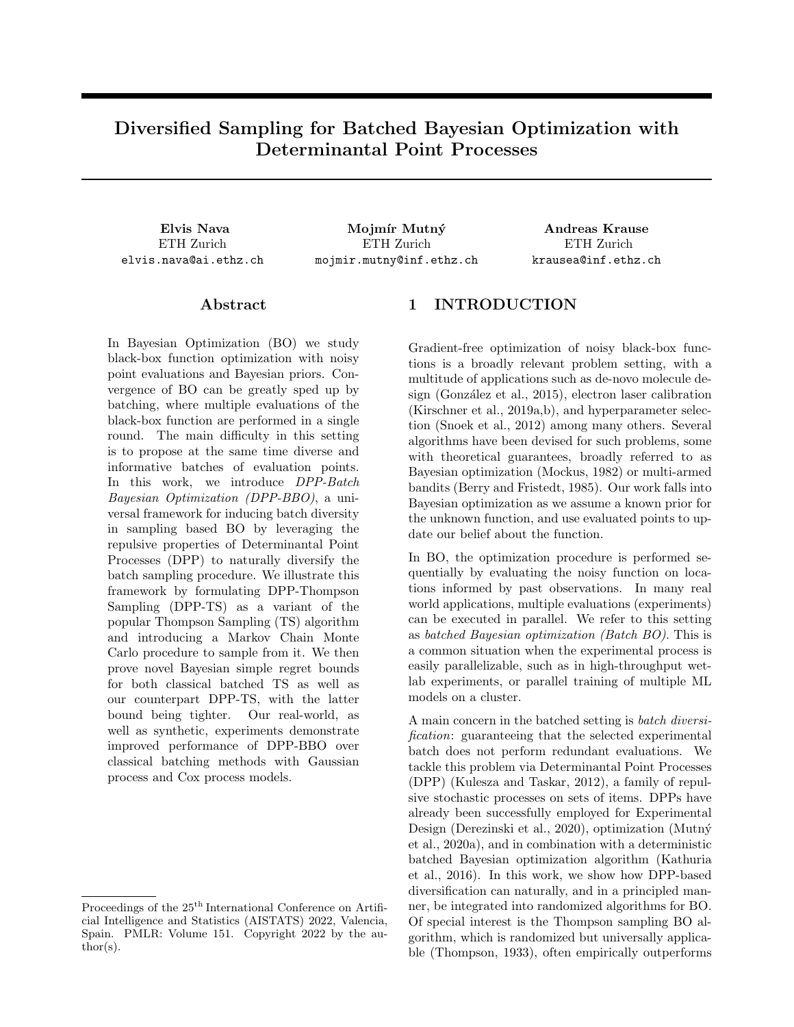with  $\delta(x) = \frac{\sigma^{-2} \sigma_{t,B}^2(x) \mathbb{E}_{P_{\text{max}}t,1}[\sigma^{-2} \sigma_{t,B}^2(x^0)]}{\mathbb{E}_{P_{\text{max}}t,1}[\sigma^{-2} \sigma_{t,B}^2(x^0)]}$  $E_{P_{\text{max }t,1}}\left[1+\sigma^{-2}\sigma_{t,B}^2(x^0)\right].$ 

As both  $p_{\text{max }t,1}$  and  $p_{\text{DPP-TS }t,B}$  are distributions, we have that

$$
\sum_{x \ge X} p_{\max t,1}(x) = 1 \tag{65}
$$

$$
\sum_{x \ge X} p_{\text{DPP-TS }t,B}(x) = \sum_{x \ge X} (1 + \delta(x)) p_{\text{max }t,1}(x) = 1
$$
\n(66)

and therefore

$$
\sum_{x \ge X} \delta(x) p_{\max t,1}(x) = 0 \tag{67}
$$

We can rewrite  $E_{p_{\text{DPP-TS }t,B}}[\sigma_{t,B}(x)]$  as

$$
\mathbb{E}_{p_{\text{DPP-TS }t,B}}\left[\sigma_{t,B}(x)\right] = \sum_{x \ge X} (1 + \delta(x))p_{\text{max }t,1}(x)\sigma_{t,B}(x) \tag{68}
$$

$$
= \mathbb{E}_{p_{\max t,1}} \left[ \sigma_{t,B}(x) \right] + \sum_{x \ge X} \delta(x) p_{\max t,1}(x) \sigma_{t,B}(x) \tag{69}
$$

and knowing that by definition of  $\delta(x)$ 

$$
\delta(x) \quad 0 \quad , \quad \sigma^{-2} \sigma_{t,B}^2(x) \quad \mathbb{E}_{p_{\max t,1}} \left[ \sigma^{-2} \sigma_{t,B}^2(x^0) \right] \tag{70}
$$

$$
\sigma_{t,B}(x) \quad \sqrt{\mathbb{E}_{p_{\max t,1}}\left[\sigma_{t,B}^2(x^{\theta})\right]}\tag{71}
$$

we can see that

$$
\sum_{x \ge X} \delta(x) p_{\max t,1}(x) \sigma_{t,B}(x)
$$
\n
$$
= \sum_{\substack{x \ge X \\ \delta(x) > 0}} \delta(x) p_{\max t,1}(x) \sigma_{t,B}(x) + \sum_{\substack{x \ge X \\ \delta(x) < 0}} \delta(x) p_{\max t,1}(x) \sigma_{t,B}(x)
$$
\n
$$
\left(\sum_{x \ge X} \delta(x) p_{\max t,1}(x)\right) \sqrt{\mathbb{E}_{p_{\max t,1}}\left[\sigma_{t,B}^2(x^{\emptyset})\right]} = 0.
$$
\n(72)

We combine this with Equation (69) to prove that

$$
\mathbb{E}\bigg[\mathbb{E}\bigg[\sigma_{t,B}(\tilde{x}_{t,B})\bigg|D_{t,B-1}\bigg]\bigg] \quad \mathbb{E}\bigg[\mathbb{E}\bigg[\sigma_{t,B}(x_{\text{DPP-TS-alt }t,B})\bigg|D_{t,B-1}\bigg]\bigg],\tag{73}
$$

hence  $p_{\text{DPP-TS } t,B}$ , the conditional distribution of the last point of the batch, is a reweigthing of  $p_{\text{max } t,1}$  in which more probability mass is put on points with higher posterior variance  $\sigma_{t,B}^2(x)$ .

**Lemma 16** For any timestep t and for all  $b \n\geq [3, B]$ , we have that

$$
\mathsf{E}\bigg[\sigma_{t,b}(x_{\mathsf{DPP}\text{-}\mathsf{TS}\text{-}\mathsf{alt }t,b})\bigg] \quad \mathsf{E}\bigg[\sigma_{t,b-1}(x_{\mathsf{DPP}\text{-}\mathsf{TS}\text{-}\mathsf{alt }t,b-1})\bigg].\tag{74}
$$

Proof. – Given any timestep t and any  $b \n\supseteq [3, B]$ , we first condition on history  $D_{t,b-2}$ , and take  $P_{\text{DPP-TS } t,b-1}$ as the conditional joint distribution for selecting the remaining points of the batch with  $b^{\theta} \n\supseteq [b \quad 1, B]$  for DPP-TS-alt. Because of the conditioning, the distribution is defined on deterministic quantities only.

We can see that  $P_{\text{DPP-TS }t,b}$   $_1(X)$  /  $P_{\text{max }t,1}(X)$  det $(L_{t,b-1_X})$  (defined following a similar argument as that at the beginning of the proof for Lemma 15), rewritten as a joint distribution  $P_{\text{DPP-TS }t,b}$   $_1(x_{b-1},...,x_B)$ , has the property of exchangeability with respect to points of the batch  $X = (x_{b-1}, \ldots, x_B)$ , meaning that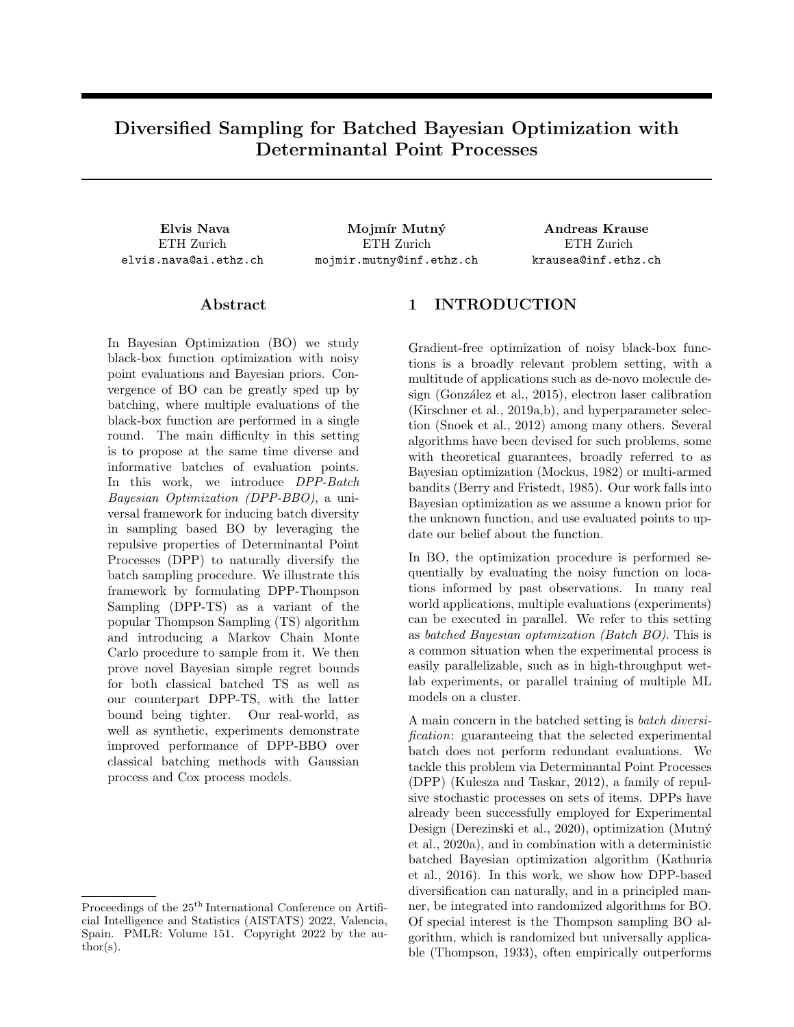changing the order of the points within the batch will not affect the probability  $P_{\text{DPP-TS } t, b}$  (X). This is true as  $P_{\text{max }t,1}(X) = \prod_{b^0=b-1}^B p_{\text{max }t,1}(x_b^0)$  depends on each  $x_b^0$  independently, and the DPP term  $\det(L_{t,b-1_X})$  is clearly exchangeable for any valid kernel  $L_{t,b}$  1, regardless of regularization by  $I$ .

Therefore, any two points  $x_{\text{DPP-TS-alt }t,b}$  and  $x_{\text{DPP-TS-alt }t,b}$  1 within the batch have the same marginal distribution. This is true because of exchangeability, as integrating all other points must lead to the same result regardless of the position of the marginalized point within the batch. Furthermore,  $\sigma_{t,b-1}$  is a deterministic function given  $D_{t,b}$  2, and so:

$$
\mathbb{E}\bigg[\sigma_{t,b-1}(x_{\text{DPP-TS-alt }t,b})\bigg|D_{t,b-2}\bigg] = \mathbb{E}\bigg[\sigma_{t,b-1}(x_{\text{DPP-TS-alt }t,b-1})\bigg|D_{t,b-2}\bigg].\tag{75}
$$

By the law of non-decreasing variance (Rasmussen and Williams, 2005), we also have that

$$
\mathbb{E}\left[\sigma_{t,b}(x_{\text{DPP-TS-alt }t,b})\bigg|D_{t,b-2}\right] \quad \mathbb{E}\left[\sigma_{t,b-1}(x_{\text{DPP-TS-alt }t,b})\bigg|D_{t,b-2}\right].\tag{76}
$$

Combining Equations (75) and (76), we finally obtain

$$
\mathbb{E}\bigg[\sigma_{t,b}(x_{\text{DPP-TS-alt }t,b})\bigg|D_{t,b-2}\bigg] \quad \mathbb{E}\bigg[\sigma_{t,b-1}(x_{\text{DPP-TS-alt }t,b-1})\bigg|D_{t,b-2}\bigg],\tag{77}
$$

and taking the overall expectation over both sides yields the lemma.

Finally, we can now obtain the promised lemma:

Lemma 17 In expectation, when using DPP-TS-alt, the deviation of the first point of a batch, selected by standard TS, is bounded by the one for any point within the previous batch, selected by DPP-TS, thus

$$
\mathsf{E}\left[\sigma_{t+1,1}(x_{\mathsf{DPP}\text{-}\mathsf{TS}\text{-}\mathsf{alt }t+1,1})\right] \quad \mathsf{E}\left[\sigma_{t,b}(x_{\mathsf{DPP}\text{-}\mathsf{TS}\text{-}\mathsf{alt }t,b})\right] \quad \mathsf{\mathcal{B}\mathit{t}}\ 2\,[1,T-1],\,\mathsf{\mathcal{B}\mathit{b}}\ 2\,[2,B].\tag{78}
$$

 $Proof.$  – Combine Lemmas 14, 15 and 16 to obtain the inequality.

Lemma 11 from the TS proof follows from lemma 17, and lemma 12 applies to the DPP-TS-alt as well without any further adjustments. It's then a matter of combining the new results to get the final bound.

Theorem 18 (Bayes Batch Cumulative Regret Bound for DPP-TS) If  $f = GP(0, K)$  with covariance kernel bounded by 1 and noise model  $N(0, \sigma^2)$ , and either

- Case 1: finite X and  $\beta_t = 2 \ln \left( \frac{B(t^2 + 1)/X}{2\pi} \right)$  $\big),$
- Case 2: compact and convex  $X \neq [0, l]^d$ , with Assumption 3 satisfied and  $\beta_t = 4(d+1)\log(Bt) +$  $2d\log(dab^{\mathcal{D}_{\overline{\pi}}}).$

Then DPP-TS (in its DPP-TS-alt variant) attains Bayes Batch Cumulative Regret of

$$
BBCR_{DPP-TST,B} \quad \frac{C_1}{B} + \sqrt{C_2 \frac{T}{B} \beta_T \gamma_{TB}} \quad C_3 \tag{79}
$$

with  $C_1 = 1$  for Case 1,  $C_1 = \frac{\pi^2}{6} + \frac{p \overline{2\pi}}{12}$  for Case 2,  $C_2 = \frac{2}{\log(1+\sigma^{-2})}$  and  $C_3 = 0$ .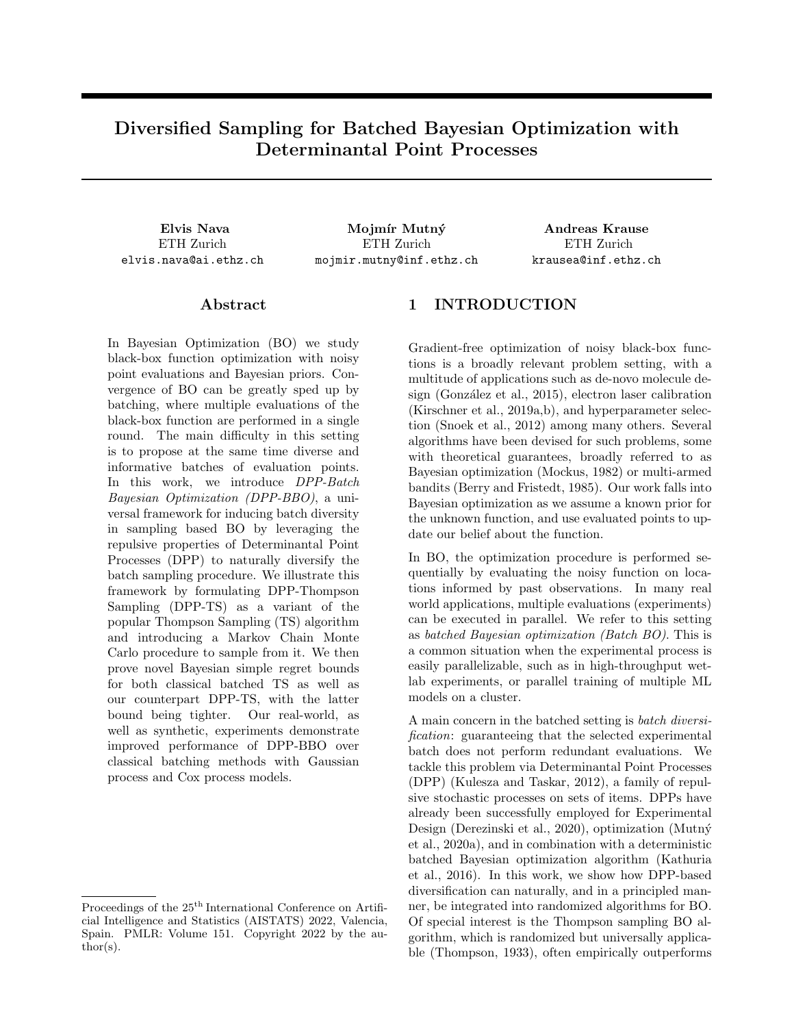Proof. — Using the previous lemmas together with Russo and Van Roy inequalities, we can show for Case 1:

$$
BBCR_{DPP-TST,B} = E \left[ \sum_{t=1}^{T} \min_{b2[1,B]} r_{DPP-TSt,b} \right] \quad E \left[ \sum_{t=1}^{T} r_{DPP-TSt,1} \right]
$$
(80)

$$
\sum_{t=1}^{T} \frac{1}{B(t^2+1)} + \mathbb{E}\bigg[\sum_{t=1}^{T} \sqrt{\beta_t} \sigma_{t,1}(x_{\text{DPP-TS}_{t,1}})\bigg] \text{ by Lemma 9}
$$
\n(81)

$$
\frac{C_1}{B} + \mathbb{E}\left[\sqrt{\beta_T} \frac{1}{B} \sum_{t=1}^{T} \sum_{b=1}^{B} \sigma_{t,b}(x_{t,b})\right]
$$
 by Eq. (27) and Lemma 11 (82)

$$
\frac{C_1}{B} + \mathbb{E}\left[\sqrt{\beta_T} \frac{1}{B} \sqrt{TB \sum_{t=1}^T \sum_{b=1}^B (\sigma_{t,b}(x_{t,b}))^2}\right] \text{ by Cauchy-Schwartz}
$$
 (83)

$$
\frac{C_1}{B} + \sqrt{C_2 \frac{T}{B} \beta_T \gamma_{TB}}
$$
 by Lemma 12 (84)

For Case 2, we again simply modify the steps of Lemma 9 with the corresponding inequalities used by Kandasamy et al. (2018) for their continuous-domain version of the bound.

We have shown that the Bayesian bound for DPP-TS is at least as good as that of standard Batched TS. In fact, the bound is even better than for that for TS, as we can add negative factors  $C_{3t} = \mathbb{E}[\delta(x)\sigma_{t,B}(x)]$  at every iteration t, leftover from Equation 69 in lemma 15. From this we obtain the negative factor  $C_3$ .

# Appendix D DISCUSSION OF KATHURIA ET AL. (2016)'S BOUND

Despite their meaningful insight and better practical performance compared to Contal et al. (2013)'s original GP-UCB-PE, Kathuria et al. (2016)'s proposed regret bound for UCB-DPP-SAMPLE does not improve on existing bounds, as it is founded on bounding the expected information gain from the last  $k = B$  1 points of every batch:

$$
E_{S \ k\text{-DPP}(L_{t,1})} \left[ \log \det((L_{t,1})_S) \right] \tag{85}
$$

$$
= \sum_{jSj=k} \frac{\det((L_{t,1})_S) \log(\det((L_{t,1})_S))}{\sum_{jSj=k} \det((L_{t,1})_S)}
$$
(86)

$$
= \sum_{jSj=k} \frac{\det((L_{t,1})_S) \log(\frac{\det((L_{t,1})_S)}{\sum_{jSj=k} \det((L_{t,1})_S)})}{\sum_{jSj=k} \det((L_{t,1})_S)} + \sum_{jSj=k} \frac{\det((L_{t,1})_S) \log(\sum_{jSj=k} \det((L_{t,1})_S))}{\sum_{jSj=k} \det((L_{t,1})_S)}
$$
(87)

$$
= H(k-DPP(L_{t,1})) + \log \left( \sum_{|S|=k} \det((L_{t,1})_S) \right) \tag{88}
$$

$$
H(k-DPP(L_{t,1})) + \log \left(\frac{j\lambda}{k} \max \det((L_{t,1})_S)\right) \tag{89}
$$

$$
H(k-DPP(L_{t,1})) + k \log (jX_j) + \log (\max \det((L_{t,1})_S))
$$
\n
$$
(90)
$$

When summing this over all iterations T, the last term is bounded by some  $C^{\ell} \gamma_{TB}$  with  $C^{\ell}$  1, while the first two terms summed together are trivially positive, as  $H(k-DPP(L_{t,1}))$  k log  $(jXj)$ . We then have that  $\sum_{t=1}^{T} (H(k-DPP(L_{t,1})) + k \log (j \chi)) + C^{\theta} \gamma_{TB}$   $\gamma_{TB}$ , therefore we gain nothing as opposed to just bounding with the maximum information gain  $\gamma_{TB}$ . For this reason, the bound is always looser than the original GP-UCB-PE bound.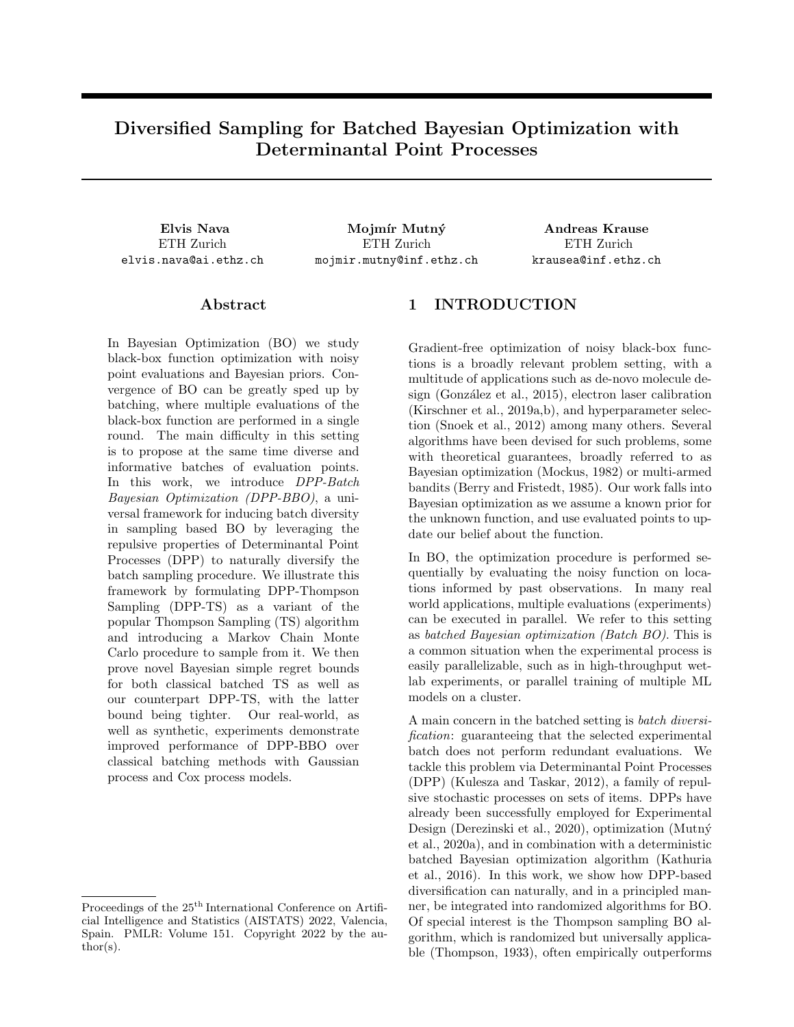

# Appendix E ADDITIONAL EXPERIMENTS

Figure 3: Comprehensive experimental comparisons between DPP-TS and classic BBO techniques for Cumulative Regret, featuring the same experimental settings as those shown in Figure 2. DPP-TS is no longer the best performing algorithm according to this metric, as the DPP component favors additional and potentially suboptimal exploration through batch diversification. However, even when it is not better, DPP-TS still quickly converges to asymptotic behavior identical to that of TS. In Appendix E.2 we illustrate a method for overcoming DPP-TS's limitations on Cumulative Regret.

### E.1 Cumulative Regret

When performing the experiments from Section 6 we mainly track Simple Regret, our target metric of choice on which we prove our theoretical bounds. Optimizing for Simple Regret corresponds to searching for good maximizers and heavily favors exploration, therefore we heavily benefit from DPP-BBO's batch diversification properties. However, we still wish to track the classic Cumulative Regret performance of our algorithms, in order to gain insight into whether DPP-BBO can be used to also optimize for such a metric.

Overall, when compared to classic TS and hallucinated TS on Cumulative Regret as seen in Figure 3, DPP-TS is no longer the best performing algorithm, often over-exploring at the beginning, but still quickly converging to sublinearity. In other cases, its performance is virtually identical. For those situations in which the DPP component causes excessive exploration, we propose a solution (in Appendix E.2) involving limiting the use of DPP-TS to an *initialization phase*.

### E.2  $\lambda$ -parametrized DPP kernel

In order to explicitly control the degree of exploration induced by the DPP reweighting of  $P_{\text{max}}$ , we can parametrize our sampling distribution  $P_{\text{DPP-TS}}$  with a  $\lambda$  exploration parameter.

Using  $\lambda$  2 [0, 1], we would like a parametrization such that:

- For  $\lambda = 1$  we recover the original formulation from Definition 2:  $P_{\text{DPP-TS}}(X) \setminus P_{\text{max }t}(X) \det(I + \sigma^{-2} K_{tX});$
- For  $\lambda = 0$  we obtain regular Thompson Sampling  $P_{\text{max}}$ ;

A proposal for such a  $P_{\text{DPP-TS}}$  parametrization is to use a multiplicative  $\lambda$ , such as

$$
P_{\text{DPP-TS}}(X) \angle P_{\text{max }t}(X) \det(I + \lambda \sigma^{-2} K_{tX}) \tag{91}
$$

In Figure 4 we illustrate an experiment comparing TS and parametrized DPP-TS with different values for  $\lambda$ . It is straightforward to observe that by interpolating between TS and DPP-TS we observe a tradeoff in Simple Regret against Cumulative Regret performance. Smaller values of  $\lambda$  correspond to slower convergence in Simple Regret but overall lower Cumulative Regret.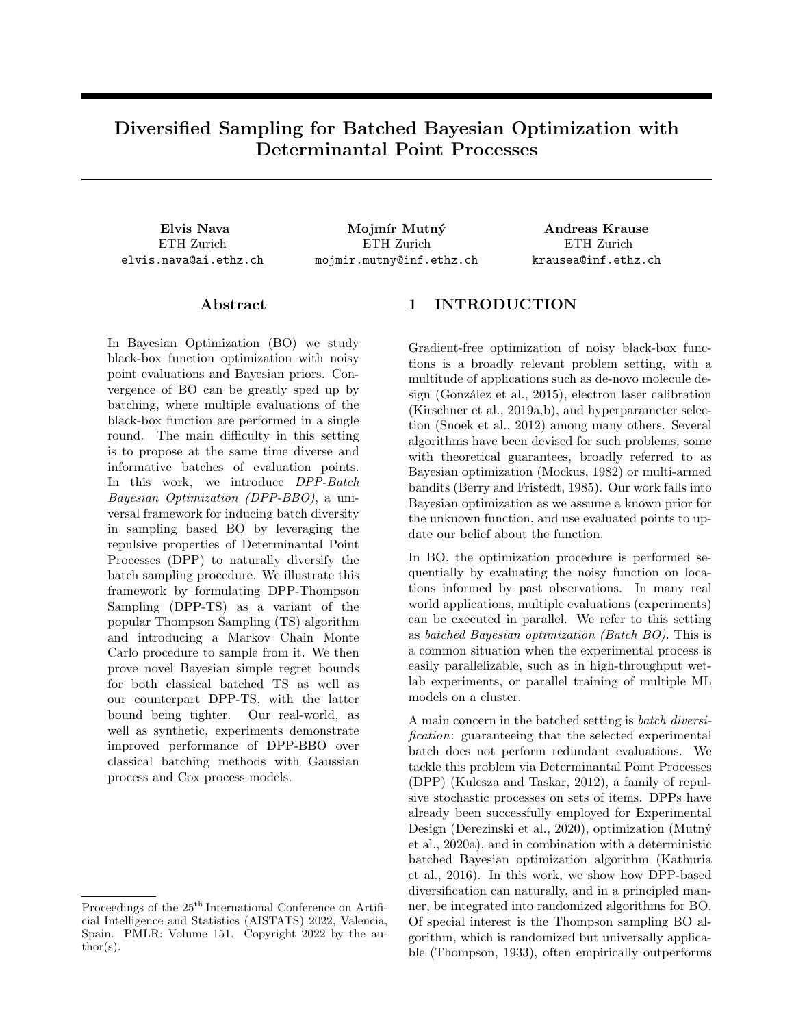Elvis Nava, Mojmír Mutný, Andreas Krause



Figure 4: Experimental comparison of DPP-TS with different  $\lambda$  parameter in the parametrized mutual information DPP kernel, for both Cumulative and Simple Regret. Changing  $\lambda$  corresponds to interpolating between the behaviors of TS and DPP-TS, with TS favoring Cumulative Regret and DPP-TS favoring Simple Regret.

Moreover, we investigate the use of time-varying  $\lambda_t$  for the purpose of using DPP-TS as an *initialization* phase for regular TS. Figure 5 illustrates a successful example of such a procedure:  $\lambda_t$  is set to be equal to 1 (equivalent to the original DPP-TS formulation) up until iteration  $T_{init}$ , then equal to 0 (equivalent to TS). By doing this, we can constrain the DPP-TS over-exploration behavior to the very first batches we evaluate, and obtain both lower/equivalent Cumulative Regret than regular TS and lower Simple Regret, as seen in the cases for  $T_{\text{init}} = 15$ and  $T_{\text{init}} = 24$ .

The experiments for this Section all involve 1-d true functions sampled from a Gaussian Process with Squared Exponential kernel and  $\gamma = 0.005$ , evaluated on a discrete grid of 1024 points, with observational noise of  $\sigma = 0.01$ . The algorithms use a correctly-specified internal GP model with the same parameters of the true GP prior, and batch size is  $B = 5$ .



Figure 5: Experimental comparison of DPP-TS when used as an initialization scheme for the first  $T_{init}$  iterations, for both Cumulative and Simple Regret. It is apparent how, with properly tuned  $T_{init}$ , it is possible to maintain the fast Simple Regret convergence properties of DPP-TS while not overshooting classic TS in Cumulative Regret.

#### E.3 DPP-TS and DPP-TS-alt comparison

Throughout this work, we refer to DPP-TS as the procedure formalized in Algorithm 2, which is a simple and natural diversifying extension of classic TS. However, the algorithm we prove our theoretical Bayes Simple Regret bound on with Theorem 5 is a slightly different procedure which we name DPP-TS-alt, that differs from DPP-TS in that it selects the first point of every batch with standard TS, a technicality required for the proof technique to work. As mentioned in the main text, the reason why we introduced DPP-TS as such and not DPP-TS-alt in the first place is both for simplicity and because in practice their performance is virtually identical.

In Figure 6 we illustrate an experiment comparing DPP-TS and DPP-TS-alt (with classic TS for reference),